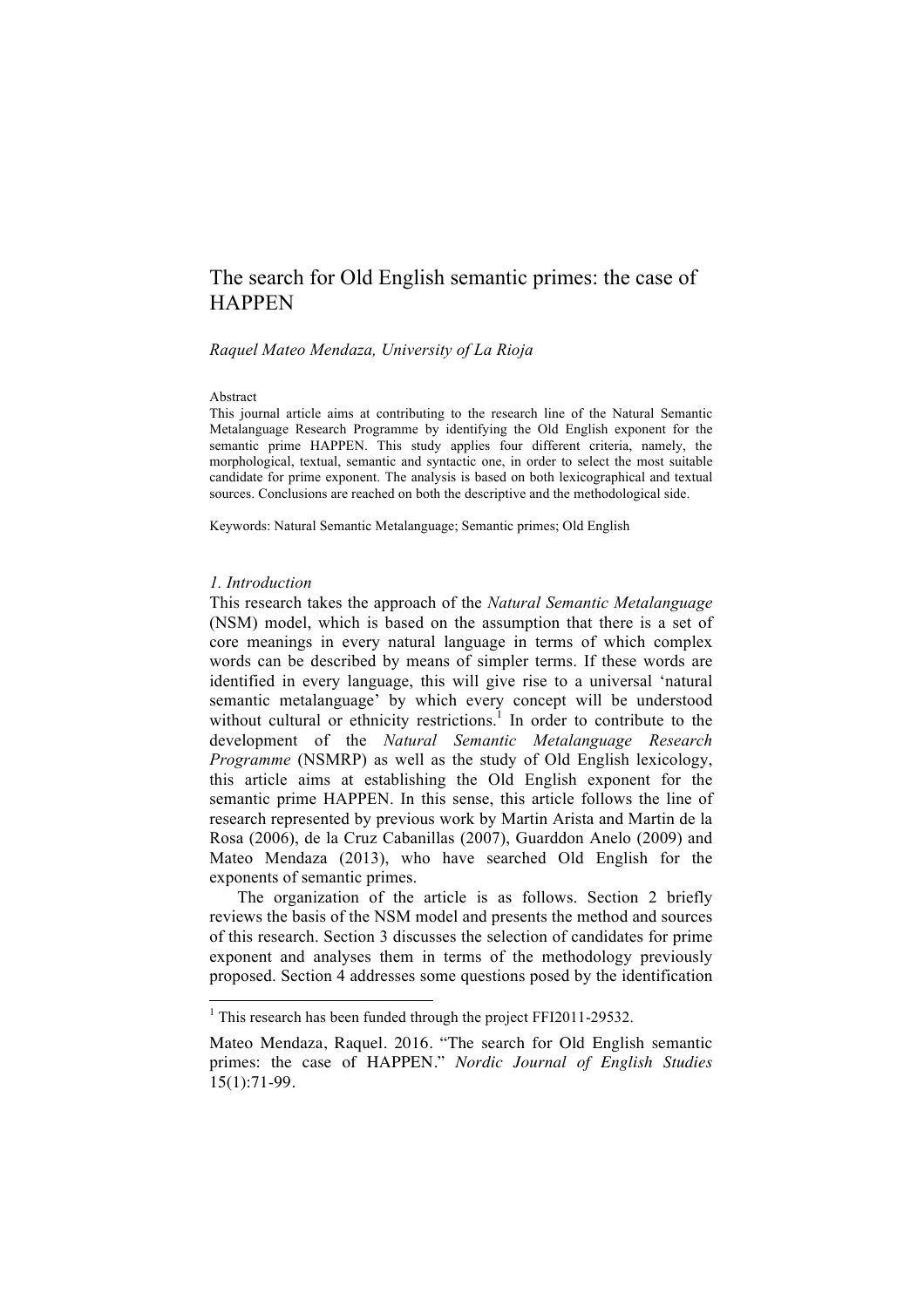# The search for Old English semantic primes: the case of **HAPPEN**

*Raquel Mateo Mendaza, University of La Rioja*

#### Abstract

This journal article aims at contributing to the research line of the Natural Semantic Metalanguage Research Programme by identifying the Old English exponent for the semantic prime HAPPEN. This study applies four different criteria, namely, the morphological, textual, semantic and syntactic one, in order to select the most suitable candidate for prime exponent. The analysis is based on both lexicographical and textual sources. Conclusions are reached on both the descriptive and the methodological side.

Keywords: Natural Semantic Metalanguage; Semantic primes; Old English

#### *1. Introduction*

This research takes the approach of the *Natural Semantic Metalanguage* (NSM) model, which is based on the assumption that there is a set of core meanings in every natural language in terms of which complex words can be described by means of simpler terms. If these words are identified in every language, this will give rise to a universal 'natural semantic metalanguage' by which every concept will be understood without cultural or ethnicity restrictions.<sup>1</sup> In order to contribute to the development of the *Natural Semantic Metalanguage Research Programme* (NSMRP) as well as the study of Old English lexicology, this article aims at establishing the Old English exponent for the semantic prime HAPPEN. In this sense, this article follows the line of research represented by previous work by Martin Arista and Martin de la Rosa (2006), de la Cruz Cabanillas (2007), Guarddon Anelo (2009) and Mateo Mendaza (2013), who have searched Old English for the exponents of semantic primes.

The organization of the article is as follows. Section 2 briefly reviews the basis of the NSM model and presents the method and sources of this research. Section 3 discusses the selection of candidates for prime exponent and analyses them in terms of the methodology previously proposed. Section 4 addresses some questions posed by the identification

<sup>&</sup>lt;sup>1</sup> This research has been funded through the project FFI2011-29532.

Mateo Mendaza, Raquel. 2016. "The search for Old English semantic primes: the case of HAPPEN." *Nordic Journal of English Studies* 15(1):71-99.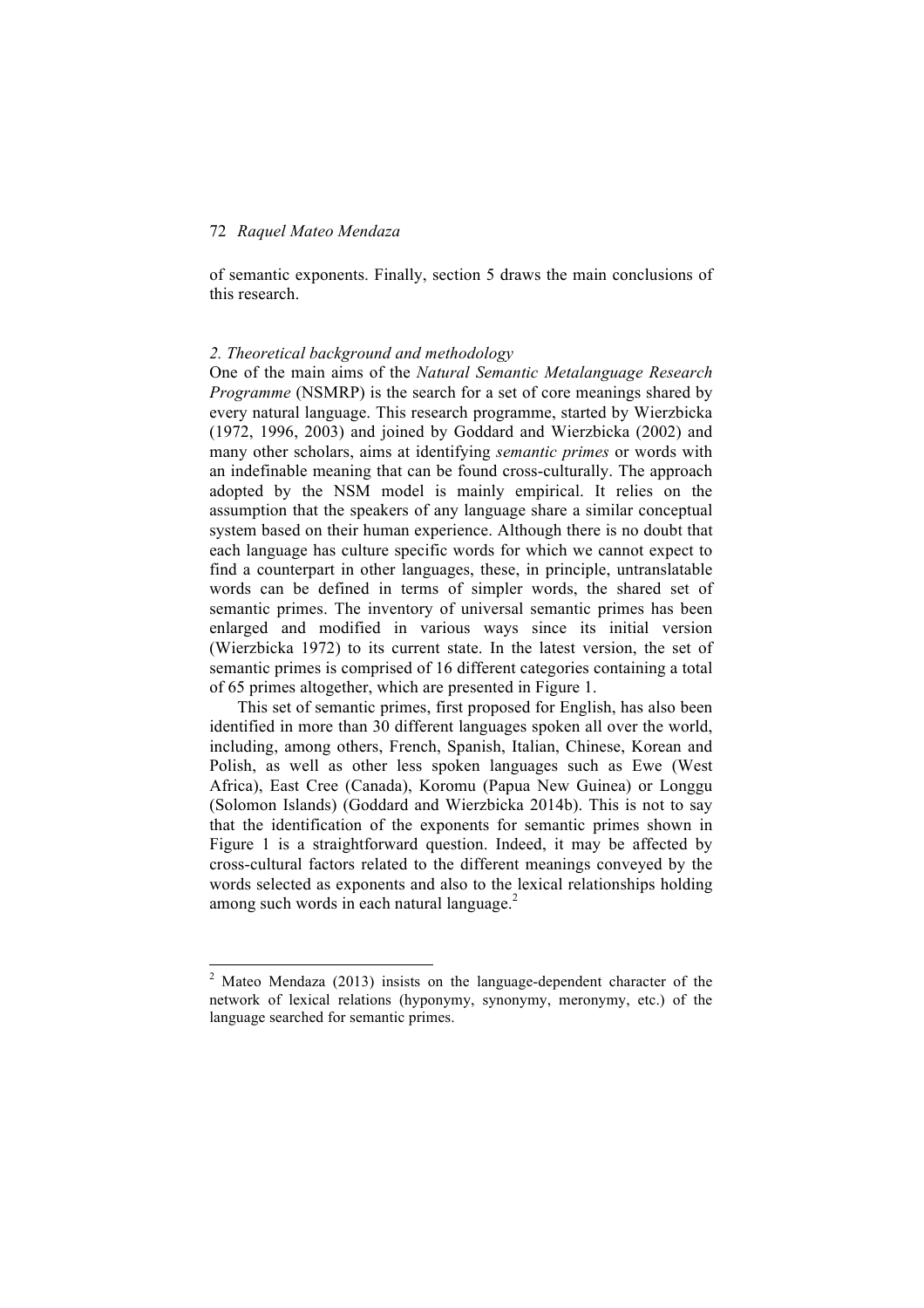of semantic exponents. Finally, section 5 draws the main conclusions of this research.

### *2. Theoretical background and methodology*

One of the main aims of the *Natural Semantic Metalanguage Research Programme* (NSMRP) is the search for a set of core meanings shared by every natural language. This research programme, started by Wierzbicka (1972, 1996, 2003) and joined by Goddard and Wierzbicka (2002) and many other scholars, aims at identifying *semantic primes* or words with an indefinable meaning that can be found cross-culturally. The approach adopted by the NSM model is mainly empirical. It relies on the assumption that the speakers of any language share a similar conceptual system based on their human experience. Although there is no doubt that each language has culture specific words for which we cannot expect to find a counterpart in other languages, these, in principle, untranslatable words can be defined in terms of simpler words, the shared set of semantic primes. The inventory of universal semantic primes has been enlarged and modified in various ways since its initial version (Wierzbicka 1972) to its current state. In the latest version, the set of semantic primes is comprised of 16 different categories containing a total of 65 primes altogether, which are presented in Figure 1.

This set of semantic primes, first proposed for English, has also been identified in more than 30 different languages spoken all over the world, including, among others, French, Spanish, Italian, Chinese, Korean and Polish, as well as other less spoken languages such as Ewe (West Africa), East Cree (Canada), Koromu (Papua New Guinea) or Longgu (Solomon Islands) (Goddard and Wierzbicka 2014b). This is not to say that the identification of the exponents for semantic primes shown in Figure 1 is a straightforward question. Indeed, it may be affected by cross-cultural factors related to the different meanings conveyed by the words selected as exponents and also to the lexical relationships holding among such words in each natural language. $2$ 

<sup>&</sup>lt;sup>2</sup> Mateo Mendaza (2013) insists on the language-dependent character of the network of lexical relations (hyponymy, synonymy, meronymy, etc.) of the language searched for semantic primes.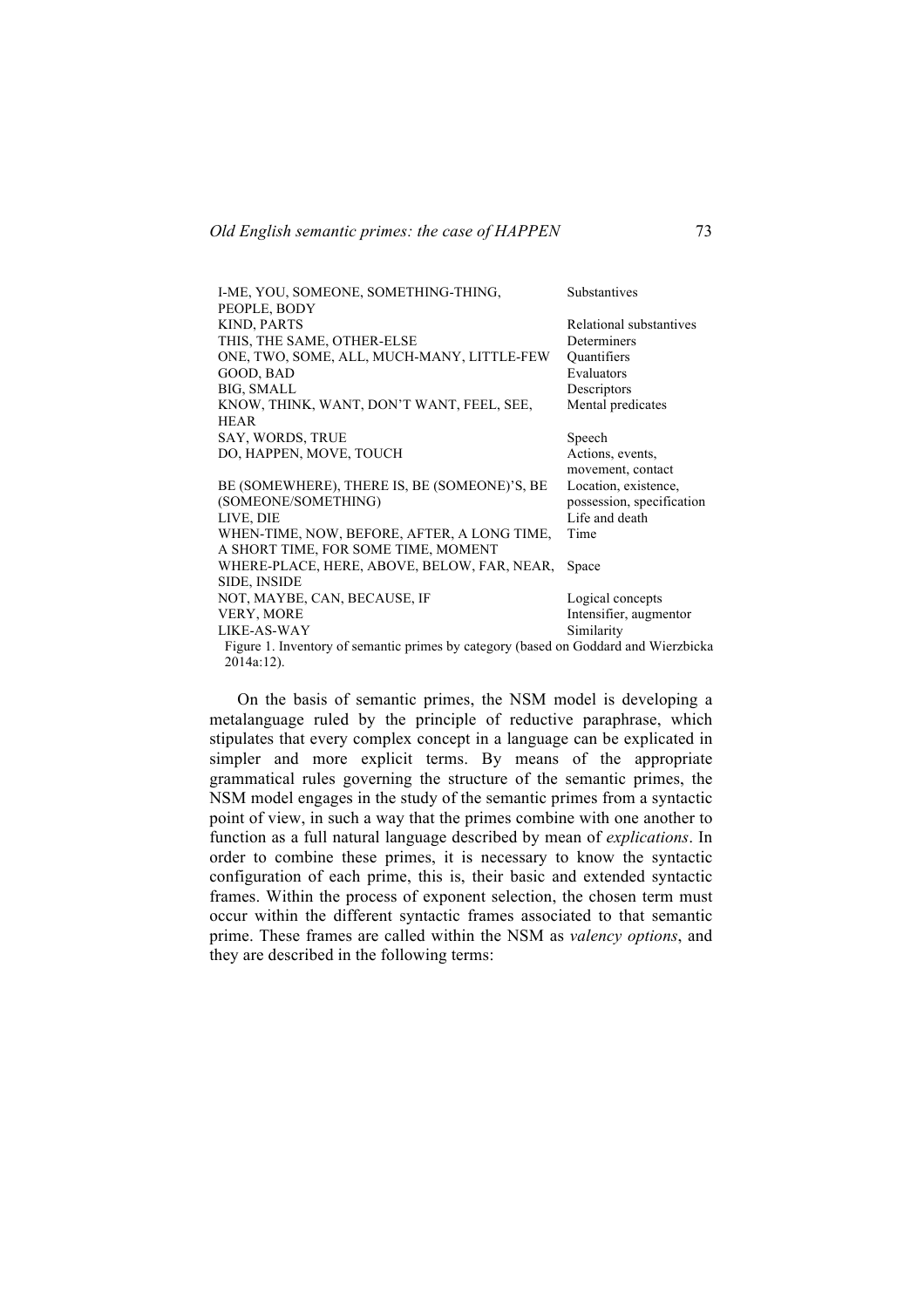| I-ME, YOU, SOMEONE, SOMETHING-THING,                                                | Substantives              |
|-------------------------------------------------------------------------------------|---------------------------|
| PEOPLE, BODY                                                                        |                           |
| <b>KIND, PARTS</b>                                                                  | Relational substantives   |
| THIS, THE SAME, OTHER-ELSE                                                          | Determiners               |
| ONE, TWO, SOME, ALL, MUCH-MANY, LITTLE-FEW                                          | Quantifiers               |
| GOOD, BAD                                                                           | Evaluators                |
| BIG, SMALL                                                                          | Descriptors               |
| KNOW, THINK, WANT, DON'T WANT, FEEL, SEE,                                           | Mental predicates         |
| <b>HEAR</b>                                                                         |                           |
| SAY, WORDS, TRUE                                                                    | Speech                    |
| DO, HAPPEN, MOVE, TOUCH                                                             | Actions, events,          |
|                                                                                     | movement, contact         |
| BE (SOMEWHERE), THERE IS, BE (SOMEONE)'S, BE                                        | Location, existence,      |
| (SOMEONE/SOMETHING)                                                                 | possession, specification |
| LIVE, DIE                                                                           | Life and death            |
| WHEN-TIME, NOW, BEFORE, AFTER, A LONG TIME,                                         | Time                      |
| A SHORT TIME, FOR SOME TIME, MOMENT                                                 |                           |
| WHERE-PLACE, HERE, ABOVE, BELOW, FAR, NEAR,                                         | Space                     |
| <b>SIDE, INSIDE</b>                                                                 |                           |
| NOT, MAYBE, CAN, BECAUSE, IF                                                        | Logical concepts          |
| <b>VERY, MORE</b>                                                                   | Intensifier, augmentor    |
| LIKE-AS-WAY                                                                         | Similarity                |
| Figure 1. Inventory of semantic primes by category (based on Goddard and Wierzbicka |                           |
| $2014a:12$ ).                                                                       |                           |

On the basis of semantic primes, the NSM model is developing a metalanguage ruled by the principle of reductive paraphrase, which stipulates that every complex concept in a language can be explicated in simpler and more explicit terms. By means of the appropriate grammatical rules governing the structure of the semantic primes, the NSM model engages in the study of the semantic primes from a syntactic point of view, in such a way that the primes combine with one another to function as a full natural language described by mean of *explications*. In order to combine these primes, it is necessary to know the syntactic configuration of each prime, this is, their basic and extended syntactic frames. Within the process of exponent selection, the chosen term must occur within the different syntactic frames associated to that semantic prime. These frames are called within the NSM as *valency options*, and they are described in the following terms: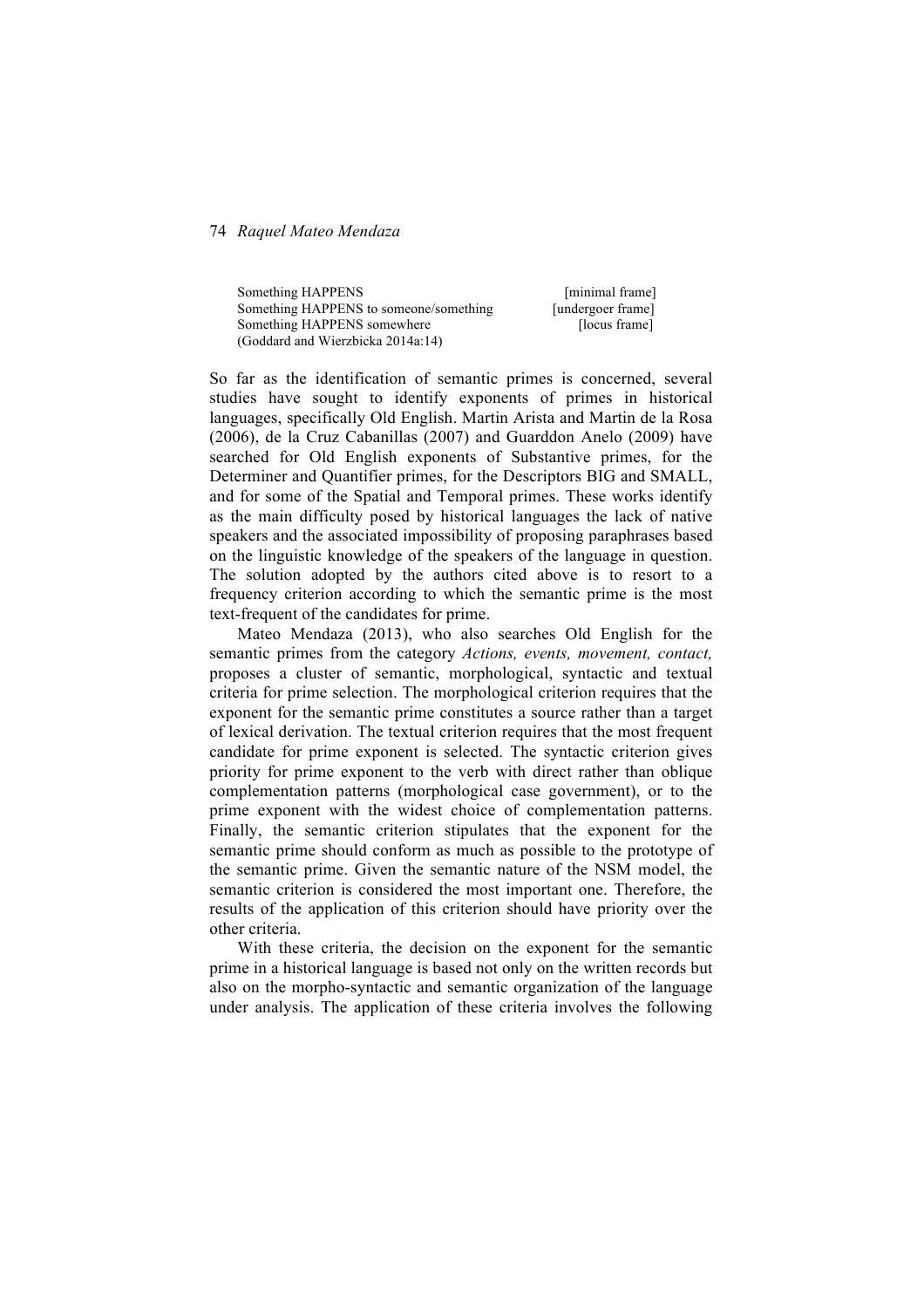Something HAPPENS [minimal frame] Something HAPPENS to someone/something [undergoer frame] Something HAPPENS somewhere [locus frame] (Goddard and Wierzbicka 2014a:14)

So far as the identification of semantic primes is concerned, several studies have sought to identify exponents of primes in historical languages, specifically Old English. Martin Arista and Martin de la Rosa (2006), de la Cruz Cabanillas (2007) and Guarddon Anelo (2009) have searched for Old English exponents of Substantive primes, for the Determiner and Quantifier primes, for the Descriptors BIG and SMALL, and for some of the Spatial and Temporal primes. These works identify as the main difficulty posed by historical languages the lack of native speakers and the associated impossibility of proposing paraphrases based on the linguistic knowledge of the speakers of the language in question. The solution adopted by the authors cited above is to resort to a frequency criterion according to which the semantic prime is the most text-frequent of the candidates for prime.

Mateo Mendaza (2013), who also searches Old English for the semantic primes from the category *Actions, events, movement, contact,*  proposes a cluster of semantic, morphological, syntactic and textual criteria for prime selection. The morphological criterion requires that the exponent for the semantic prime constitutes a source rather than a target of lexical derivation. The textual criterion requires that the most frequent candidate for prime exponent is selected. The syntactic criterion gives priority for prime exponent to the verb with direct rather than oblique complementation patterns (morphological case government), or to the prime exponent with the widest choice of complementation patterns. Finally, the semantic criterion stipulates that the exponent for the semantic prime should conform as much as possible to the prototype of the semantic prime. Given the semantic nature of the NSM model, the semantic criterion is considered the most important one. Therefore, the results of the application of this criterion should have priority over the other criteria.

With these criteria, the decision on the exponent for the semantic prime in a historical language is based not only on the written records but also on the morpho-syntactic and semantic organization of the language under analysis. The application of these criteria involves the following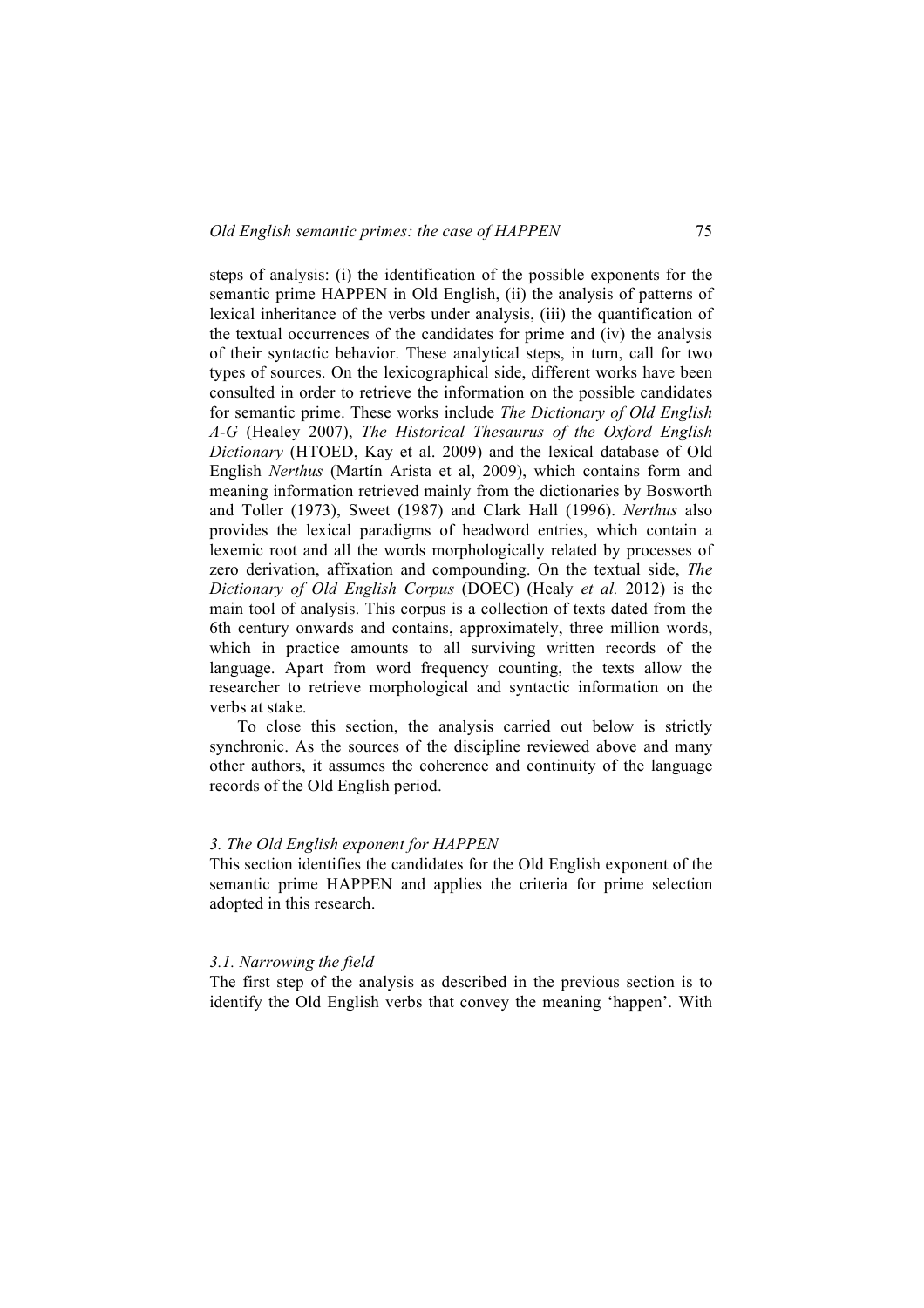steps of analysis: (i) the identification of the possible exponents for the semantic prime HAPPEN in Old English, (ii) the analysis of patterns of lexical inheritance of the verbs under analysis, (iii) the quantification of the textual occurrences of the candidates for prime and (iv) the analysis of their syntactic behavior. These analytical steps, in turn, call for two types of sources. On the lexicographical side, different works have been consulted in order to retrieve the information on the possible candidates for semantic prime. These works include *The Dictionary of Old English A-G* (Healey 2007), *The Historical Thesaurus of the Oxford English Dictionary* (HTOED, Kay et al. 2009) and the lexical database of Old English *Nerthus* (Martín Arista et al, 2009), which contains form and meaning information retrieved mainly from the dictionaries by Bosworth and Toller (1973), Sweet (1987) and Clark Hall (1996). *Nerthus* also provides the lexical paradigms of headword entries, which contain a lexemic root and all the words morphologically related by processes of zero derivation, affixation and compounding. On the textual side, *The Dictionary of Old English Corpus* (DOEC) (Healy *et al.* 2012) is the main tool of analysis. This corpus is a collection of texts dated from the 6th century onwards and contains, approximately, three million words, which in practice amounts to all surviving written records of the language. Apart from word frequency counting, the texts allow the researcher to retrieve morphological and syntactic information on the verbs at stake.

To close this section, the analysis carried out below is strictly synchronic. As the sources of the discipline reviewed above and many other authors, it assumes the coherence and continuity of the language records of the Old English period.

## *3. The Old English exponent for HAPPEN*

This section identifies the candidates for the Old English exponent of the semantic prime HAPPEN and applies the criteria for prime selection adopted in this research.

# *3.1. Narrowing the field*

The first step of the analysis as described in the previous section is to identify the Old English verbs that convey the meaning 'happen'. With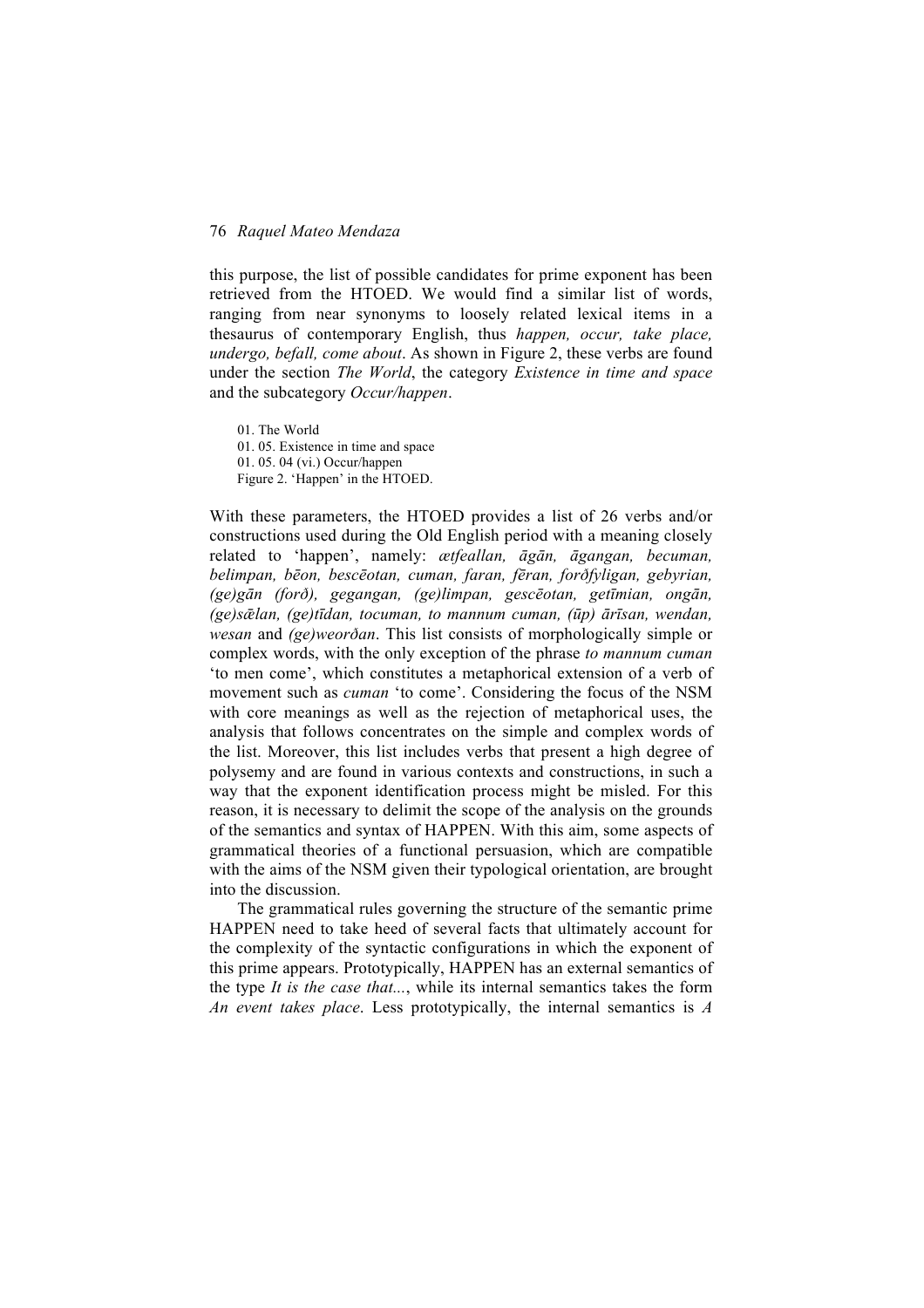this purpose, the list of possible candidates for prime exponent has been retrieved from the HTOED. We would find a similar list of words, ranging from near synonyms to loosely related lexical items in a thesaurus of contemporary English, thus *happen, occur, take place, undergo, befall, come about*. As shown in Figure 2, these verbs are found under the section *The World*, the category *Existence in time and space* and the subcategory *Occur/happen*.

01. The World 01. 05. Existence in time and space 01. 05. 04 (vi.) Occur/happen Figure 2. 'Happen' in the HTOED.

With these parameters, the HTOED provides a list of 26 verbs and/or constructions used during the Old English period with a meaning closely related to 'happen', namely: *ætfeallan, āgān, āgangan, becuman, belimpan, bēon, bescēotan, cuman, faran, fēran, forðfyligan, gebyrian, (ge)gān (forð), gegangan, (ge)limpan, gescēotan, getīmian, ongān, (ge)sǣlan, (ge)tīdan, tocuman, to mannum cuman, (ūp) ārīsan, wendan, wesan* and *(ge)weorðan*. This list consists of morphologically simple or complex words, with the only exception of the phrase *to mannum cuman* 'to men come', which constitutes a metaphorical extension of a verb of movement such as *cuman* 'to come'. Considering the focus of the NSM with core meanings as well as the rejection of metaphorical uses, the analysis that follows concentrates on the simple and complex words of the list. Moreover, this list includes verbs that present a high degree of polysemy and are found in various contexts and constructions, in such a way that the exponent identification process might be misled. For this reason, it is necessary to delimit the scope of the analysis on the grounds of the semantics and syntax of HAPPEN. With this aim, some aspects of grammatical theories of a functional persuasion, which are compatible with the aims of the NSM given their typological orientation, are brought into the discussion.

The grammatical rules governing the structure of the semantic prime HAPPEN need to take heed of several facts that ultimately account for the complexity of the syntactic configurations in which the exponent of this prime appears. Prototypically, HAPPEN has an external semantics of the type *It is the case that...*, while its internal semantics takes the form *An event takes place*. Less prototypically, the internal semantics is *A*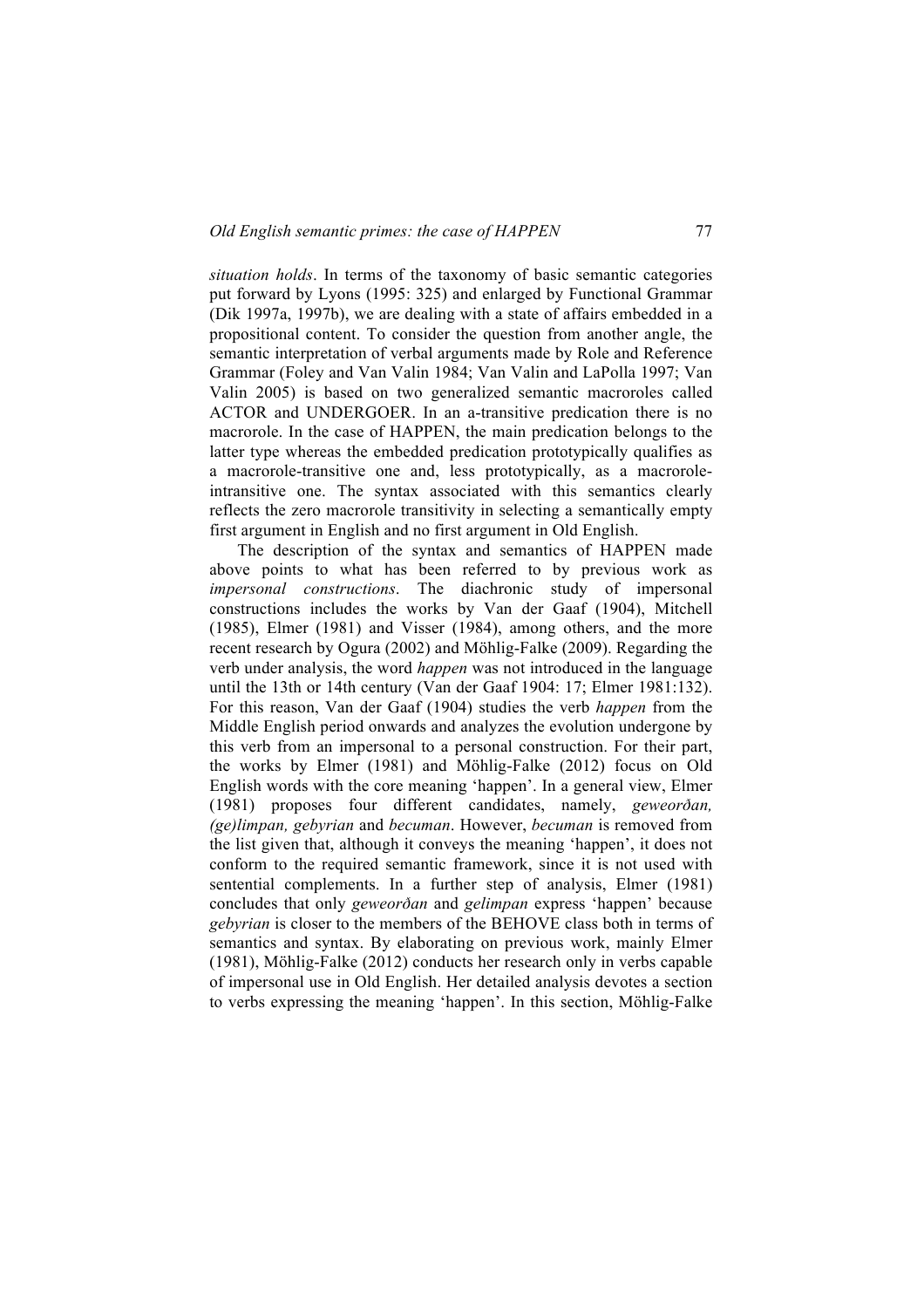*situation holds*. In terms of the taxonomy of basic semantic categories put forward by Lyons (1995: 325) and enlarged by Functional Grammar (Dik 1997a, 1997b), we are dealing with a state of affairs embedded in a propositional content. To consider the question from another angle, the semantic interpretation of verbal arguments made by Role and Reference Grammar (Foley and Van Valin 1984; Van Valin and LaPolla 1997; Van Valin 2005) is based on two generalized semantic macroroles called ACTOR and UNDERGOER. In an a-transitive predication there is no macrorole. In the case of HAPPEN, the main predication belongs to the latter type whereas the embedded predication prototypically qualifies as a macrorole-transitive one and, less prototypically, as a macroroleintransitive one. The syntax associated with this semantics clearly reflects the zero macrorole transitivity in selecting a semantically empty first argument in English and no first argument in Old English.

The description of the syntax and semantics of HAPPEN made above points to what has been referred to by previous work as *impersonal constructions*. The diachronic study of impersonal constructions includes the works by Van der Gaaf (1904), Mitchell (1985), Elmer (1981) and Visser (1984), among others, and the more recent research by Ogura (2002) and Möhlig-Falke (2009). Regarding the verb under analysis, the word *happen* was not introduced in the language until the 13th or 14th century (Van der Gaaf 1904: 17; Elmer 1981:132). For this reason, Van der Gaaf (1904) studies the verb *happen* from the Middle English period onwards and analyzes the evolution undergone by this verb from an impersonal to a personal construction. For their part, the works by Elmer (1981) and Möhlig-Falke (2012) focus on Old English words with the core meaning 'happen'. In a general view, Elmer (1981) proposes four different candidates, namely, *geweorðan, (ge)limpan, gebyrian* and *becuman*. However, *becuman* is removed from the list given that, although it conveys the meaning 'happen', it does not conform to the required semantic framework, since it is not used with sentential complements. In a further step of analysis, Elmer (1981) concludes that only *geweorðan* and *gelimpan* express 'happen' because *gebyrian* is closer to the members of the BEHOVE class both in terms of semantics and syntax. By elaborating on previous work, mainly Elmer (1981), Möhlig-Falke (2012) conducts her research only in verbs capable of impersonal use in Old English. Her detailed analysis devotes a section to verbs expressing the meaning 'happen'. In this section, Möhlig-Falke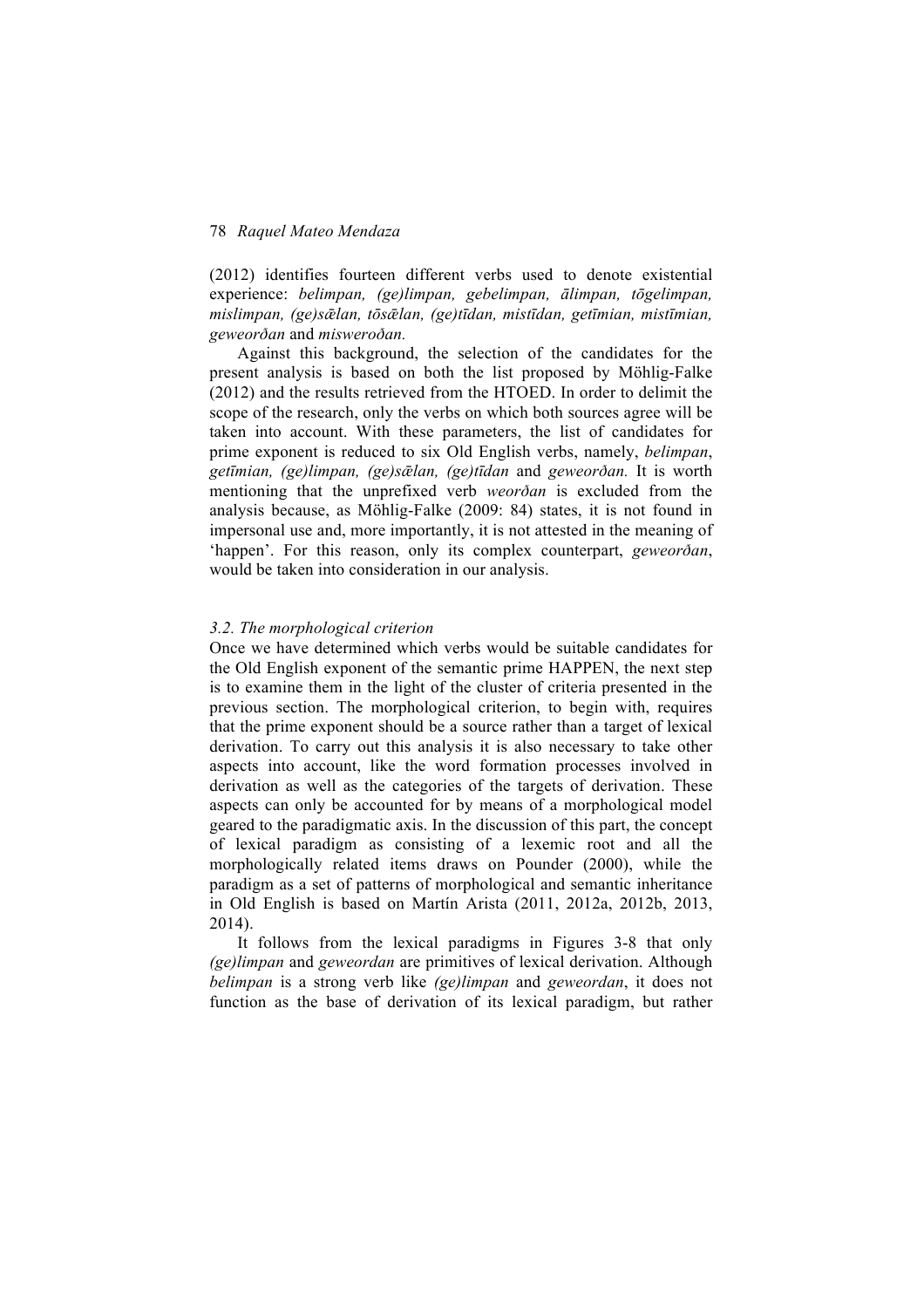(2012) identifies fourteen different verbs used to denote existential experience: *belimpan, (ge)limpan, gebelimpan, ālimpan, tōgelimpan, mislimpan, (ge)sǣlan, tōsǣlan, (ge)tīdan, mistīdan, getīmian, mistīmian, geweorðan* and *misweroðan.*

Against this background, the selection of the candidates for the present analysis is based on both the list proposed by Möhlig-Falke (2012) and the results retrieved from the HTOED. In order to delimit the scope of the research, only the verbs on which both sources agree will be taken into account. With these parameters, the list of candidates for prime exponent is reduced to six Old English verbs, namely, *belimpan*, *getīmian, (ge)limpan, (ge)sǣlan, (ge)tīdan* and *geweorðan.* It is worth mentioning that the unprefixed verb *weorðan* is excluded from the analysis because, as Möhlig-Falke (2009: 84) states, it is not found in impersonal use and, more importantly, it is not attested in the meaning of 'happen'. For this reason, only its complex counterpart, *geweorðan*, would be taken into consideration in our analysis.

## *3.2. The morphological criterion*

Once we have determined which verbs would be suitable candidates for the Old English exponent of the semantic prime HAPPEN, the next step is to examine them in the light of the cluster of criteria presented in the previous section. The morphological criterion, to begin with, requires that the prime exponent should be a source rather than a target of lexical derivation. To carry out this analysis it is also necessary to take other aspects into account, like the word formation processes involved in derivation as well as the categories of the targets of derivation. These aspects can only be accounted for by means of a morphological model geared to the paradigmatic axis. In the discussion of this part, the concept of lexical paradigm as consisting of a lexemic root and all the morphologically related items draws on Pounder (2000), while the paradigm as a set of patterns of morphological and semantic inheritance in Old English is based on Martín Arista (2011, 2012a, 2012b, 2013, 2014).

It follows from the lexical paradigms in Figures 3-8 that only *(ge)limpan* and *geweordan* are primitives of lexical derivation. Although *belimpan* is a strong verb like *(ge)limpan* and *geweordan*, it does not function as the base of derivation of its lexical paradigm, but rather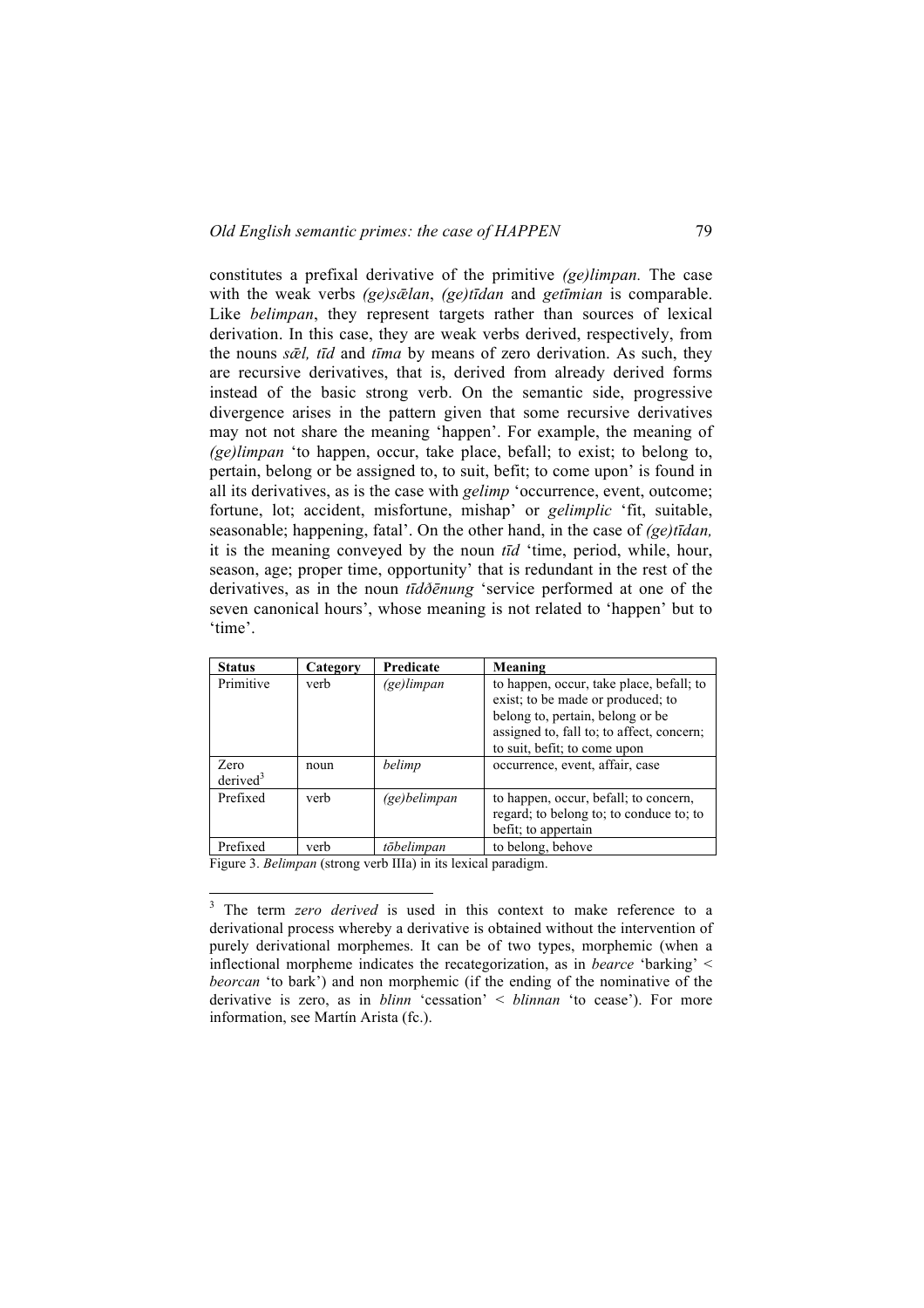constitutes a prefixal derivative of the primitive *(ge)limpan.* The case with the weak verbs *(ge)sǣlan*, *(ge)tīdan* and *getīmian* is comparable. Like *belimpan*, they represent targets rather than sources of lexical derivation. In this case, they are weak verbs derived, respectively, from the nouns *sǣl, tīd* and *tīma* by means of zero derivation. As such, they are recursive derivatives, that is, derived from already derived forms instead of the basic strong verb. On the semantic side, progressive divergence arises in the pattern given that some recursive derivatives may not not share the meaning 'happen'. For example, the meaning of *(ge)limpan* 'to happen, occur, take place, befall; to exist; to belong to, pertain, belong or be assigned to, to suit, befit; to come upon' is found in all its derivatives, as is the case with *gelimp* 'occurrence, event, outcome; fortune, lot; accident, misfortune, mishap' or *gelimplic* 'fit, suitable, seasonable; happening, fatal'. On the other hand, in the case of *(ge)tīdan,* it is the meaning conveyed by the noun *tīd* 'time, period, while, hour, season, age; proper time, opportunity' that is redundant in the rest of the derivatives, as in the noun *tīdðēnung* 'service performed at one of the seven canonical hours', whose meaning is not related to 'happen' but to 'time'.

| <b>Status</b>                | Category | Predicate    | Meaning                                                                                                                                                                                        |
|------------------------------|----------|--------------|------------------------------------------------------------------------------------------------------------------------------------------------------------------------------------------------|
| Primitive                    | verb     | (ge)limpan   | to happen, occur, take place, befall; to<br>exist; to be made or produced; to<br>belong to, pertain, belong or be<br>assigned to, fall to; to affect, concern;<br>to suit, befit; to come upon |
| Zero<br>derived <sup>3</sup> | noun     | belimp       | occurrence, event, affair, case                                                                                                                                                                |
| Prefixed                     | verb     | (ge)belimpan | to happen, occur, befall; to concern,<br>regard; to belong to; to conduce to; to<br>befit; to appertain                                                                                        |
| Prefixed                     | verb     | tōbelimpan   | to belong, behove                                                                                                                                                                              |

Figure 3. *Belimpan* (strong verb IIIa) in its lexical paradigm.

<sup>&</sup>lt;sup>3</sup> The term *zero derived* is used in this context to make reference to a derivational process whereby a derivative is obtained without the intervention of purely derivational morphemes. It can be of two types, morphemic (when a inflectional morpheme indicates the recategorization, as in *bearce* 'barking' < *beorcan* 'to bark') and non morphemic (if the ending of the nominative of the derivative is zero, as in *blinn* 'cessation' < *blinnan* 'to cease'). For more information, see Martín Arista (fc.).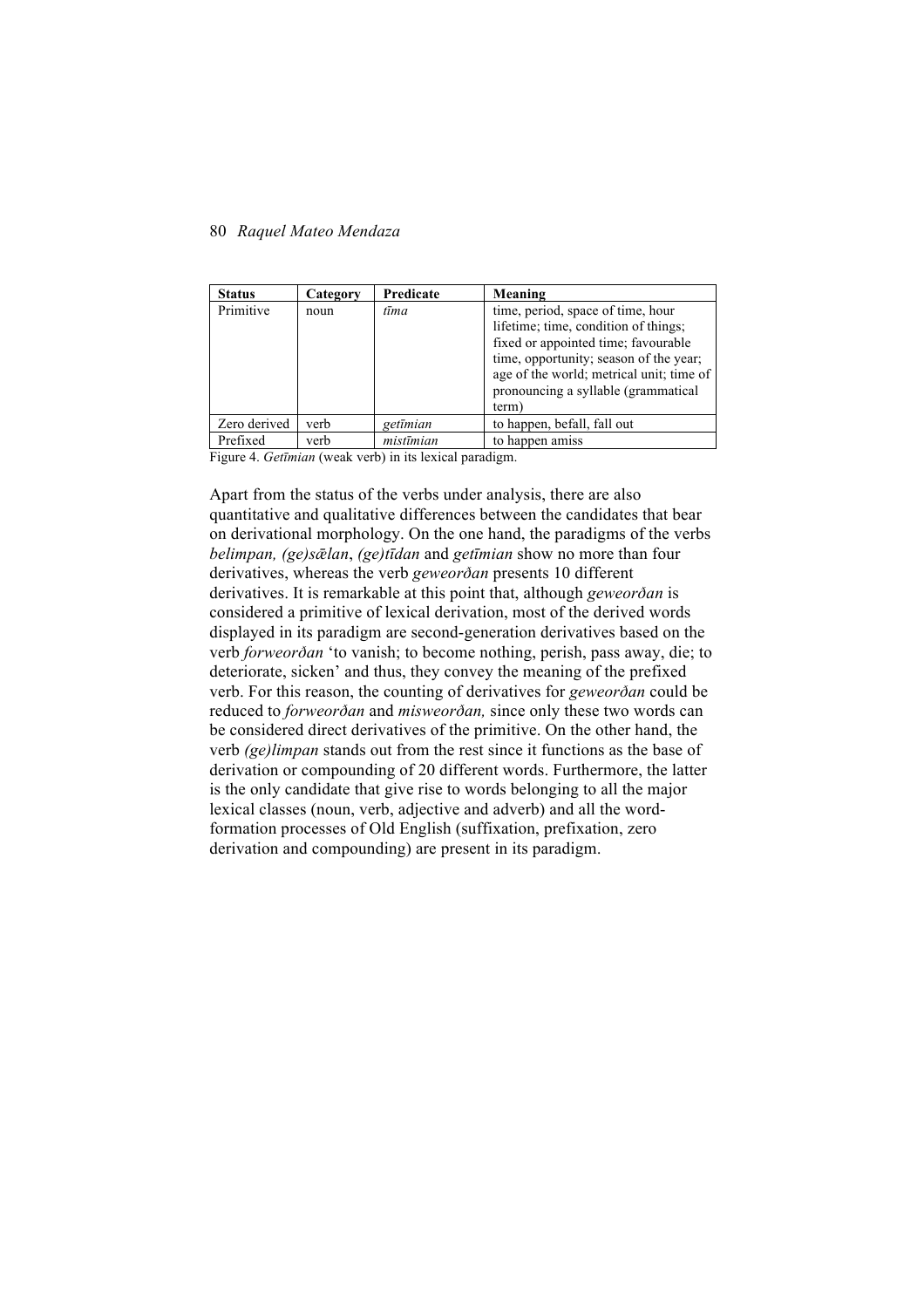| <b>Status</b> | Category | Predicate | Meaning                                                                                                                                                                                                                                                |
|---------------|----------|-----------|--------------------------------------------------------------------------------------------------------------------------------------------------------------------------------------------------------------------------------------------------------|
| Primitive     | noun     | tīma      | time, period, space of time, hour<br>lifetime; time, condition of things;<br>fixed or appointed time; favourable<br>time, opportunity; season of the year;<br>age of the world; metrical unit; time of<br>pronouncing a syllable (grammatical<br>term) |
| Zero derived  | verb     | getīmian  | to happen, befall, fall out                                                                                                                                                                                                                            |
| Prefixed      | verb     | mistīmian | to happen amiss                                                                                                                                                                                                                                        |

Figure 4. *Getīmian* (weak verb) in its lexical paradigm.

Apart from the status of the verbs under analysis, there are also quantitative and qualitative differences between the candidates that bear on derivational morphology. On the one hand, the paradigms of the verbs *belimpan, (ge)sǣlan*, *(ge)tīdan* and *getīmian* show no more than four derivatives, whereas the verb *geweorðan* presents 10 different derivatives. It is remarkable at this point that, although *geweorðan* is considered a primitive of lexical derivation, most of the derived words displayed in its paradigm are second-generation derivatives based on the verb *forweorðan* 'to vanish; to become nothing, perish, pass away, die; to deteriorate, sicken' and thus, they convey the meaning of the prefixed verb. For this reason, the counting of derivatives for *geweorðan* could be reduced to *forweorðan* and *misweorðan,* since only these two words can be considered direct derivatives of the primitive. On the other hand, the verb *(ge)limpan* stands out from the rest since it functions as the base of derivation or compounding of 20 different words. Furthermore, the latter is the only candidate that give rise to words belonging to all the major lexical classes (noun, verb, adjective and adverb) and all the wordformation processes of Old English (suffixation, prefixation, zero derivation and compounding) are present in its paradigm.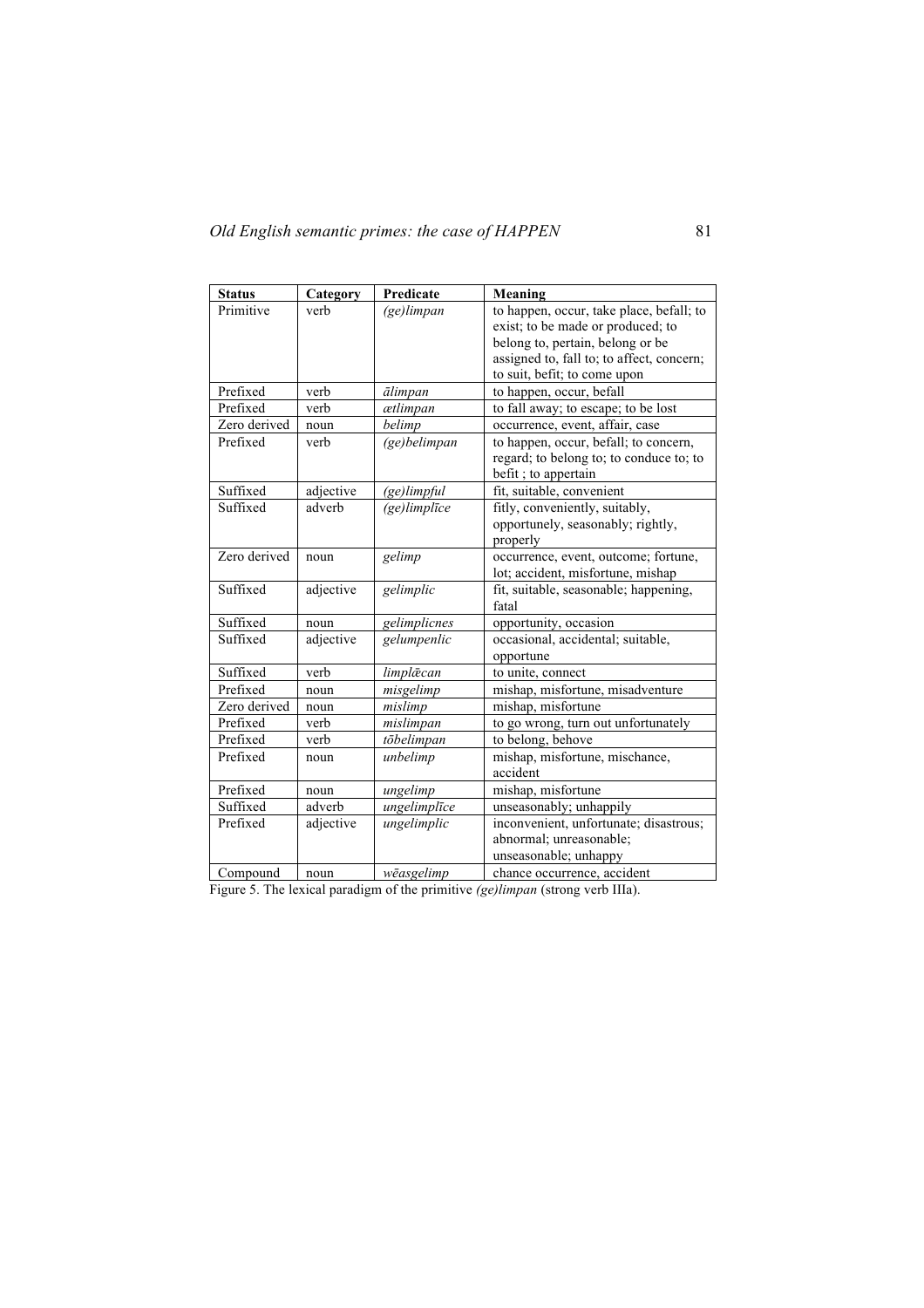| <b>Status</b> | Category  | Predicate      | Meaning                                   |
|---------------|-----------|----------------|-------------------------------------------|
| Primitive     | verb      | $(ge)$ limpan  | to happen, occur, take place, befall; to  |
|               |           |                | exist; to be made or produced; to         |
|               |           |                | belong to, pertain, belong or be          |
|               |           |                | assigned to, fall to; to affect, concern; |
|               |           |                | to suit, befit; to come upon              |
| Prefixed      | verb      | ālimpan        | to happen, occur, befall                  |
| Prefixed      | verb      | ætlimpan       | to fall away; to escape; to be lost       |
| Zero derived  | noun      | belimp         | occurrence, event, affair, case           |
| Prefixed      | verb      | (ge)belimpan   | to happen, occur, befall; to concern,     |
|               |           |                | regard; to belong to; to conduce to; to   |
|               |           |                | befit; to appertain                       |
| Suffixed      | adjective | $(ge)$ limpful | fit, suitable, convenient                 |
| Suffixed      | adverb    | (ge)limplīce   | fitly, conveniently, suitably,            |
|               |           |                | opportunely, seasonably; rightly,         |
|               |           |                | properly                                  |
| Zero derived  | noun      | gelimp         | occurrence, event, outcome; fortune,      |
|               |           |                | lot; accident, misfortune, mishap         |
| Suffixed      | adjective | gelimplic      | fit, suitable, seasonable; happening,     |
|               |           |                | fatal                                     |
| Suffixed      | noun      | gelimplicnes   | opportunity, occasion                     |
| Suffixed      | adjective | gelumpenlic    | occasional, accidental; suitable,         |
|               |           |                | opportune                                 |
| Suffixed      | verb      | limplæcan      | to unite, connect                         |
| Prefixed      | noun      | misgelimp      | mishap, misfortune, misadventure          |
| Zero derived  | noun      | mislimp        | mishap, misfortune                        |
| Prefixed      | verb      | mislimpan      | to go wrong, turn out unfortunately       |
| Prefixed      | verb      | tōbelimpan     | to belong, behove                         |
| Prefixed      | noun      | unbelimp       | mishap, misfortune, mischance,            |
|               |           |                | accident                                  |
| Prefixed      | noun      | ungelimp       | mishap, misfortune                        |
| Suffixed      | adverb    | ungelimplīce   | unseasonably; unhappily                   |
| Prefixed      | adjective | ungelimplic    | inconvenient, unfortunate; disastrous;    |
|               |           |                | abnormal; unreasonable;                   |
|               |           |                | unseasonable; unhappy                     |
| Compound      | noun      | wēasgelimp     | chance occurrence, accident               |

Figure 5. The lexical paradigm of the primitive *(ge)limpan* (strong verb IIIa).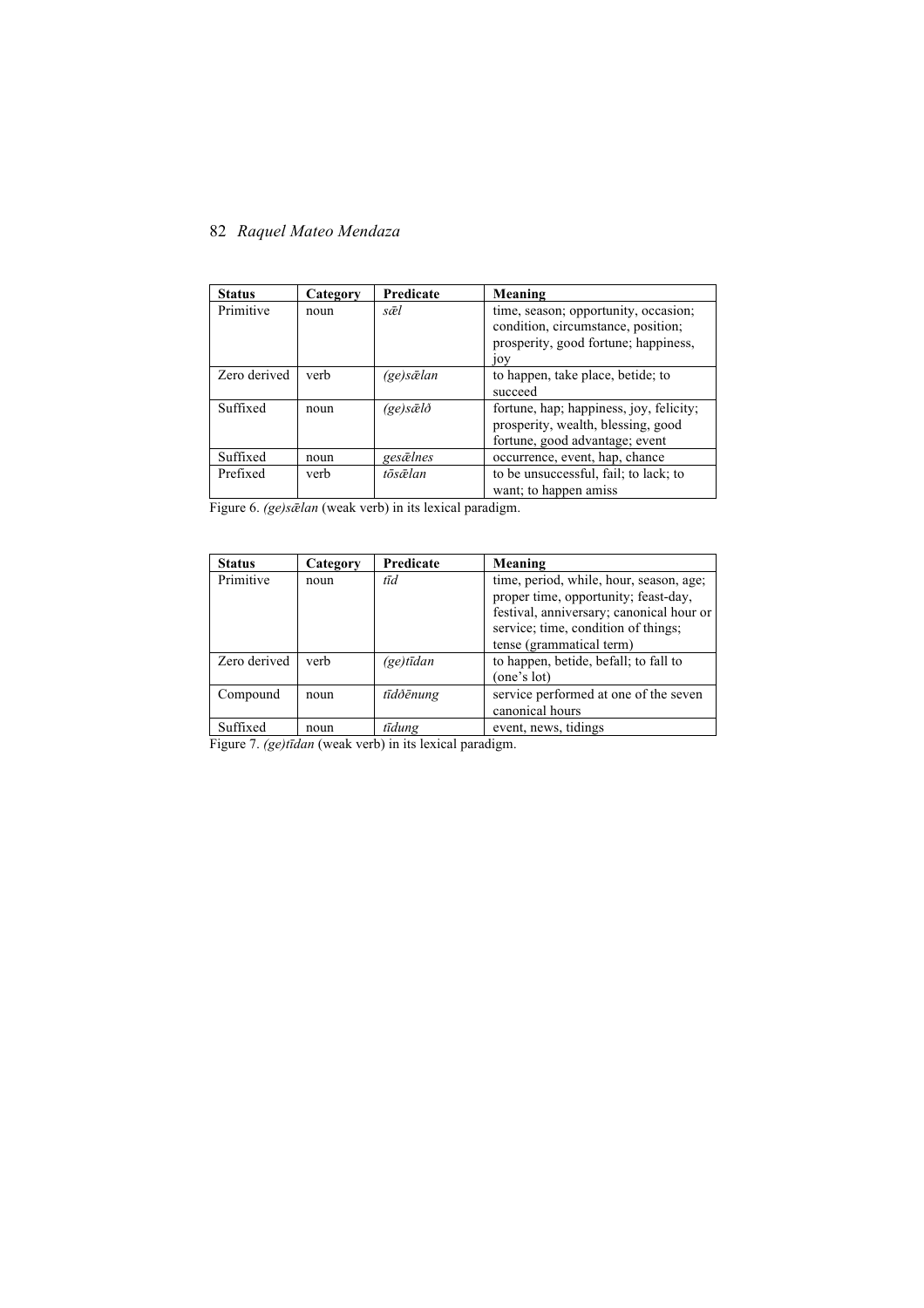| <b>Status</b> | Category | Predicate                  | Meaning                                                                                                                   |
|---------------|----------|----------------------------|---------------------------------------------------------------------------------------------------------------------------|
| Primitive     | noun     | sæl                        | time, season; opportunity, occasion;<br>condition, circumstance, position;<br>prosperity, good fortune; happiness,<br>10V |
| Zero derived  | verb     | (ge)sælan                  | to happen, take place, betide; to<br>succeed                                                                              |
| Suffixed      | noun     | $(ge)s\bar{\alpha}l\delta$ | fortune, hap; happiness, joy, felicity;<br>prosperity, wealth, blessing, good<br>fortune, good advantage; event           |
| Suffixed      | noun     | gesælnes                   | occurrence, event, hap, chance                                                                                            |
| Prefixed      | verb     | tōsælan                    | to be unsuccessful, fail; to lack; to<br>want; to happen amiss                                                            |

Figure 6. *(ge)s* $\bar{\alpha}$ *lan* (weak verb) in its lexical paradigm.

| <b>Status</b> | Category | Predicate          | Meaning                                  |
|---------------|----------|--------------------|------------------------------------------|
| Primitive     | noun     | tīd                | time, period, while, hour, season, age;  |
|               |          |                    | proper time, opportunity; feast-day,     |
|               |          |                    | festival, anniversary; canonical hour or |
|               |          |                    | service; time, condition of things;      |
|               |          |                    | tense (grammatical term)                 |
| Zero derived  | verb     | $(ge)t\bar{t}$ dan | to happen, betide, befall; to fall to    |
|               |          |                    | (one's lot)                              |
| Compound      | noun     | tīdðēnung          | service performed at one of the seven    |
|               |          |                    | canonical hours                          |
| Suffixed      | noun     | tīdung             | event, news, tidings                     |

Figure 7. *(ge)tīdan* (weak verb) in its lexical paradigm.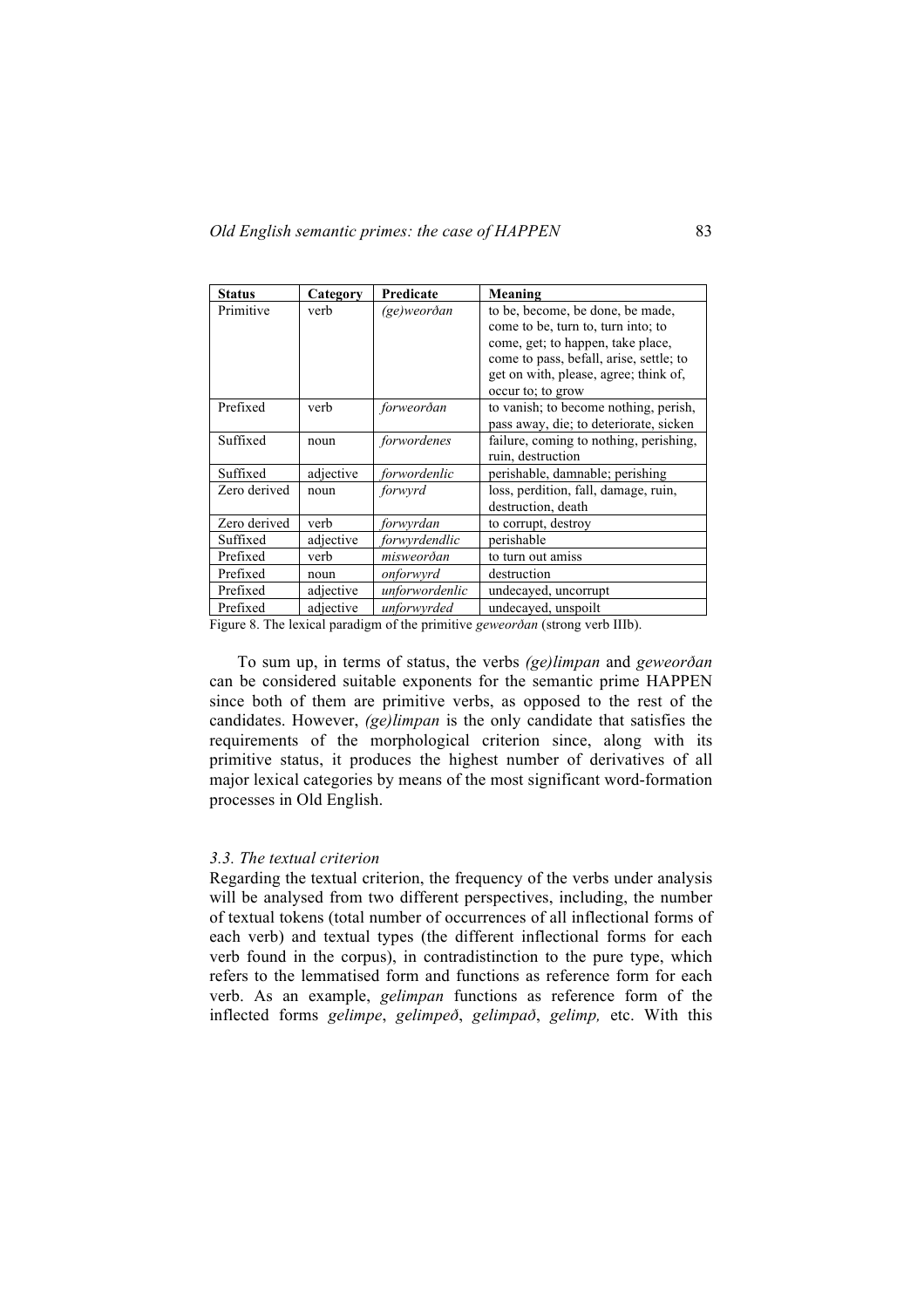| <b>Status</b> | Category  | Predicate      | Meaning                                 |
|---------------|-----------|----------------|-----------------------------------------|
| Primitive     | verb      | (ge)weorðan    | to be, become, be done, be made,        |
|               |           |                | come to be, turn to, turn into; to      |
|               |           |                | come, get; to happen, take place,       |
|               |           |                | come to pass, befall, arise, settle; to |
|               |           |                | get on with, please, agree; think of,   |
|               |           |                | occur to; to grow                       |
| Prefixed      | verb      | forweorðan     | to vanish; to become nothing, perish,   |
|               |           |                | pass away, die; to deteriorate, sicken  |
| Suffixed      | noun      | forwordenes    | failure, coming to nothing, perishing,  |
|               |           |                | ruin, destruction                       |
| Suffixed      | adjective | forwordenlic   | perishable, damnable; perishing         |
| Zero derived  | noun      | forwyrd        | loss, perdition, fall, damage, ruin,    |
|               |           |                | destruction, death                      |
| Zero derived  | verb      | forwyrdan      | to corrupt, destroy                     |
| Suffixed      | adjective | forwyrdendlic  | perishable                              |
| Prefixed      | verb      | misweorðan     | to turn out amiss                       |
| Prefixed      | noun      | onforwyrd      | destruction                             |
| Prefixed      | adjective | unforwordenlic | undecayed, uncorrupt                    |
| Prefixed      | adjective | unforwyrded    | undecayed, unspoilt                     |

Figure 8. The lexical paradigm of the primitive *geweorðan* (strong verb IIIb).

To sum up, in terms of status, the verbs *(ge)limpan* and *geweorðan*  can be considered suitable exponents for the semantic prime HAPPEN since both of them are primitive verbs, as opposed to the rest of the candidates. However, *(ge)limpan* is the only candidate that satisfies the requirements of the morphological criterion since, along with its primitive status, it produces the highest number of derivatives of all major lexical categories by means of the most significant word-formation processes in Old English.

#### *3.3. The textual criterion*

Regarding the textual criterion, the frequency of the verbs under analysis will be analysed from two different perspectives, including, the number of textual tokens (total number of occurrences of all inflectional forms of each verb) and textual types (the different inflectional forms for each verb found in the corpus), in contradistinction to the pure type, which refers to the lemmatised form and functions as reference form for each verb. As an example, *gelimpan* functions as reference form of the inflected forms *gelimpe*, *gelimpeð*, *gelimpað*, *gelimp,* etc. With this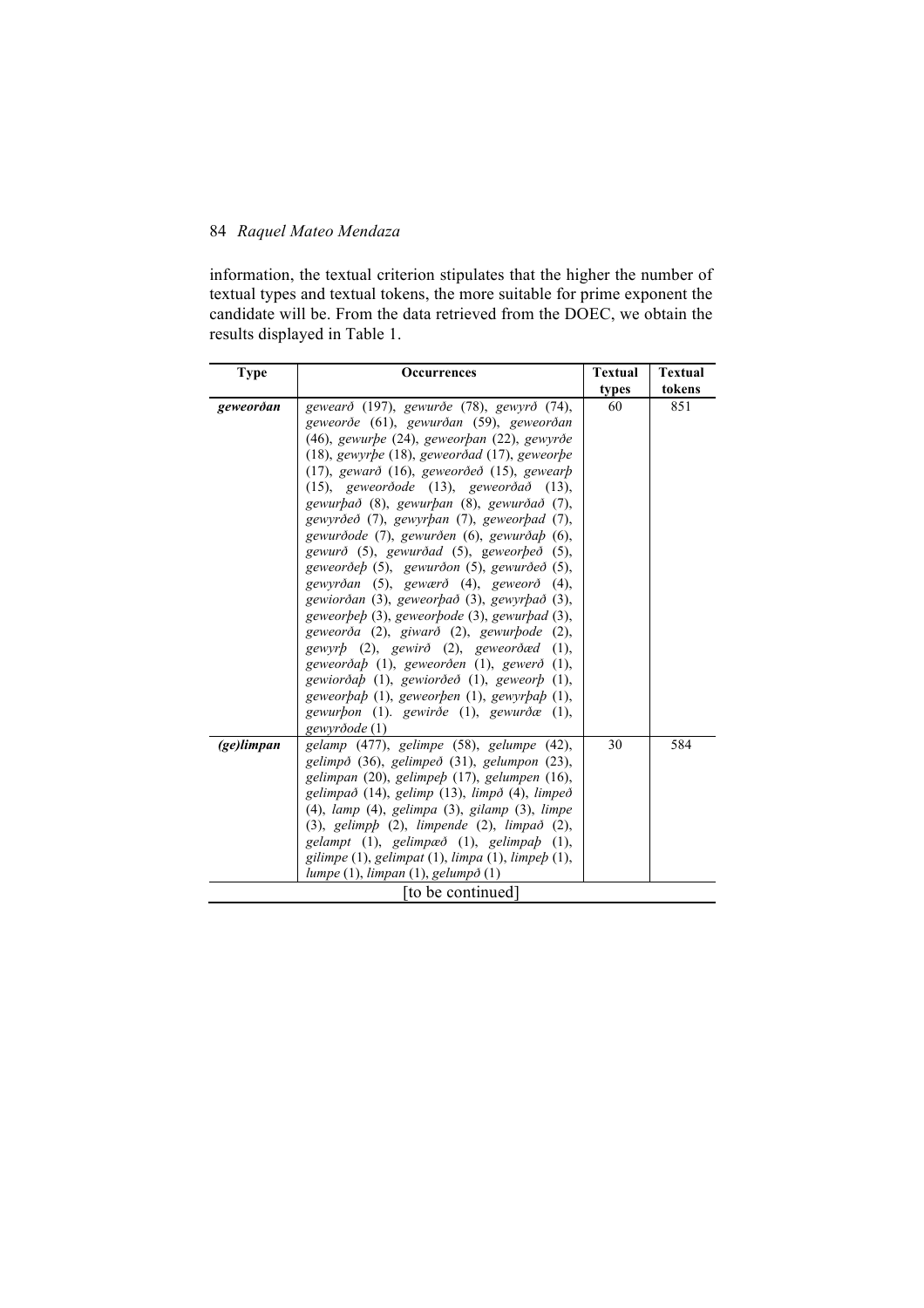information, the textual criterion stipulates that the higher the number of textual types and textual tokens, the more suitable for prime exponent the candidate will be. From the data retrieved from the DOEC, we obtain the results displayed in Table 1.

| <b>Type</b> | <b>Occurrences</b>                                                                                                                                                                                                                                                                                                                                                                                                                                                                                                                                                                                                                                                                                                                                                                                                                                                                                                                                                                                           | <b>Textual</b> | <b>Textual</b> |
|-------------|--------------------------------------------------------------------------------------------------------------------------------------------------------------------------------------------------------------------------------------------------------------------------------------------------------------------------------------------------------------------------------------------------------------------------------------------------------------------------------------------------------------------------------------------------------------------------------------------------------------------------------------------------------------------------------------------------------------------------------------------------------------------------------------------------------------------------------------------------------------------------------------------------------------------------------------------------------------------------------------------------------------|----------------|----------------|
|             |                                                                                                                                                                                                                                                                                                                                                                                                                                                                                                                                                                                                                                                                                                                                                                                                                                                                                                                                                                                                              | types          | tokens         |
| geweorðan   | gewearð (197), gewurðe (78), gewyrð (74),<br>geweorðe (61), gewurðan (59), geweorðan<br>(46), gewurpe (24), geweorpan (22), gewyrðe<br>$(18)$ , gewyrbe $(18)$ , geweorðad $(17)$ , geweorbe<br>$(17)$ , gewarð $(16)$ , geweorðeð $(15)$ , gewearb<br>(15), geweordode (13), geweord $\delta$ ad (13),<br>gewurbað (8), gewurban (8), gewurðað (7),<br>gewyrðeð (7), gewyrþan (7), geweorþad (7),<br>gewurðode (7), gewurðen (6), gewurða $p(6)$ ,<br>gewurð (5), gewurðad (5), geweorbeð (5),<br>geweorðeb (5), gewurðon (5), gewurðeð (5),<br>gewyrðan (5), gewærð (4), geweorð (4),<br>gewiorðan (3), geweorþað (3), gewyrþað (3),<br>geweorbeb (3), geweorbode (3), gewurbad (3),<br>geweorða (2), giwarð (2), gewurbode (2),<br>gewyr $p(2)$ , gewir $\delta(2)$ , geweor $\delta$ æd (1),<br>geweorðab (1), geweorðen (1), gewerð (1),<br>gewiorða $p(1)$ , gewiorðeð (1), geweor $p(1)$ ,<br>geweorbab (1), geweorben (1), gewyrbab (1),<br>gewurbon (1). gewirðe (1), gewurðæ (1),<br>gewyrðode (1) | 60             | 851            |
| (ge)limpan  | gelamp (477), gelimpe (58), gelumpe (42),<br>gelimpð (36), gelimpeð (31), gelumpon (23),<br>gelimpan (20), gelimpeb (17), gelumpen (16),<br>gelimpað (14), gelimp (13), limpð (4), limpeð<br>$(4)$ , lamp $(4)$ , gelimpa $(3)$ , gilamp $(3)$ , limpe<br>(3), gelimph (2), limpende (2), limpað (2),<br>gelampt (1), gelimpæð (1), gelimpaþ (1),<br>gilimpe (1), gelimpat (1), limpa (1), limpeb (1),<br>lumpe $(1)$ , limpan $(1)$ , gelump $\delta(1)$                                                                                                                                                                                                                                                                                                                                                                                                                                                                                                                                                    | 30             | 584            |
|             | to be continued]                                                                                                                                                                                                                                                                                                                                                                                                                                                                                                                                                                                                                                                                                                                                                                                                                                                                                                                                                                                             |                |                |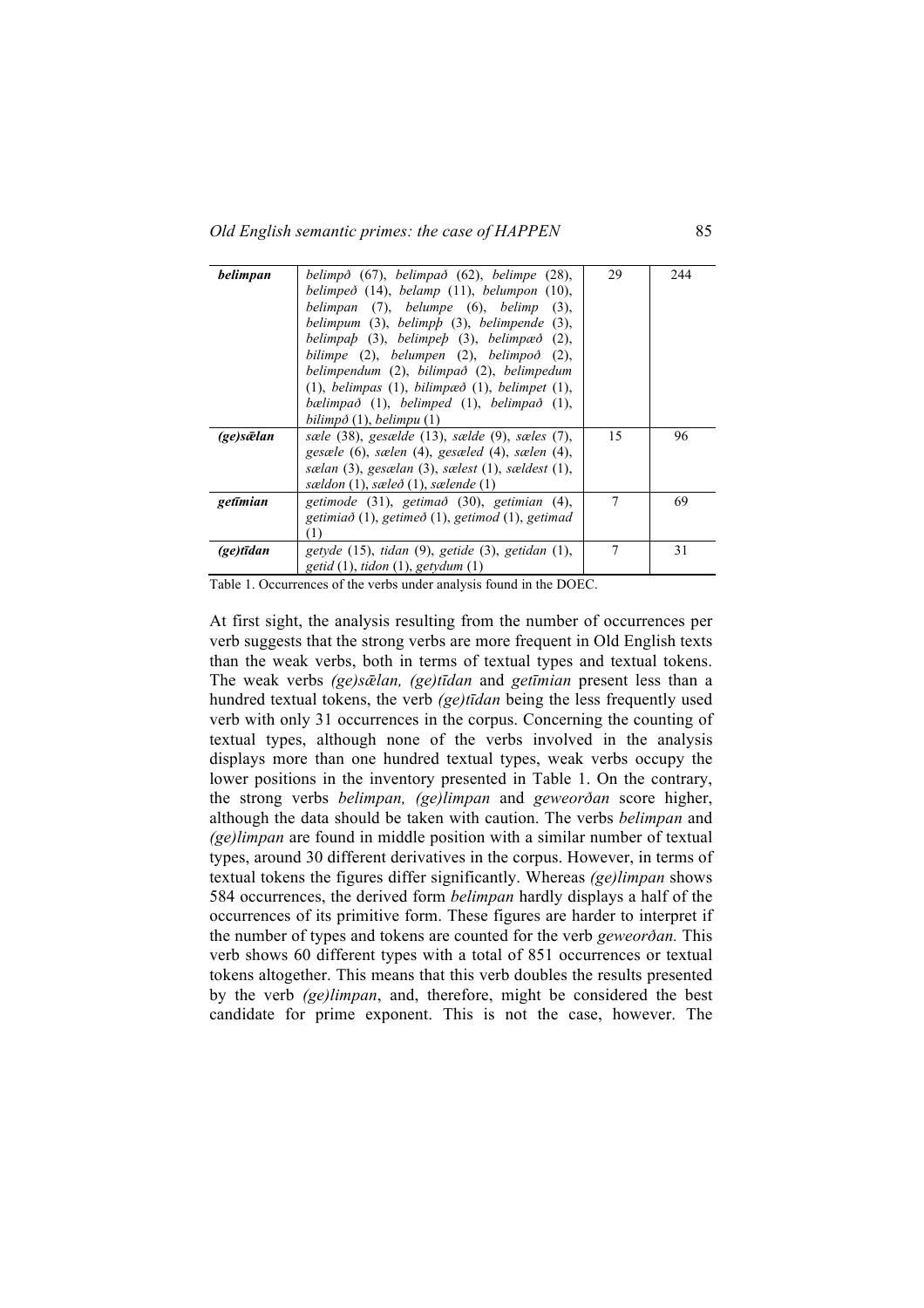| belimpan     | belimpð (67), belimpað (62), belimpe (28),                      | 29 | 244 |
|--------------|-----------------------------------------------------------------|----|-----|
|              | belimpeð $(14)$ , belamp $(11)$ , belumpon $(10)$ ,             |    |     |
|              | belimpan (7), belumpe (6), belimp<br>$(3)$ .                    |    |     |
|              | belimpum $(3)$ , belimp $p(3)$ , belimpende $(3)$ ,             |    |     |
|              | belimpa $p(3)$ , belimpe $p(3)$ , belimpae $\delta(2)$ ,        |    |     |
|              | bilimpe $(2)$ , belumpen $(2)$ , belimpo $\delta$ $(2)$ ,       |    |     |
|              | belimpendum (2), bilimpað (2), belimpedum                       |    |     |
|              | $(1)$ , belimpas $(1)$ , bilimpaed $(1)$ , belimpet $(1)$ ,     |    |     |
|              | bælimpað $(1)$ , belimped $(1)$ , belimpað $(1)$ ,              |    |     |
|              | bilimp $\delta(1)$ , belimpu $(1)$                              |    |     |
| (ge)sælan    | sæle $(38)$ , gesælde $(13)$ , sælde $(9)$ , sæles $(7)$ ,      | 15 | 96  |
|              | gesæle (6), sælen (4), gesæled (4), sælen (4),                  |    |     |
|              | sælan $(3)$ , gesælan $(3)$ , sælest $(1)$ , sældest $(1)$ ,    |    |     |
|              | sældon $(1)$ , sæleð $(1)$ , sælende $(1)$                      |    |     |
| getīmian     | getimode (31), getimað (30), getimian (4),                      | 7  | 69  |
|              | getimia $\delta$ (1), getime $\delta$ (1), getimod (1), getimad |    |     |
|              | T)                                                              |    |     |
| $(ge)$ tīdan | getyde $(15)$ , tidan $(9)$ , getide $(3)$ , getidan $(1)$ ,    | 7  | 31  |
|              | getid $(1)$ , tidon $(1)$ , getydum $(1)$                       |    |     |

Table 1. Occurrences of the verbs under analysis found in the DOEC.

At first sight, the analysis resulting from the number of occurrences per verb suggests that the strong verbs are more frequent in Old English texts than the weak verbs, both in terms of textual types and textual tokens. The weak verbs *(ge)sǣlan, (ge)tīdan* and *getīmian* present less than a hundred textual tokens, the verb *(ge)tīdan* being the less frequently used verb with only 31 occurrences in the corpus. Concerning the counting of textual types, although none of the verbs involved in the analysis displays more than one hundred textual types, weak verbs occupy the lower positions in the inventory presented in Table 1. On the contrary, the strong verbs *belimpan, (ge)limpan* and *geweorðan* score higher, although the data should be taken with caution. The verbs *belimpan* and *(ge)limpan* are found in middle position with a similar number of textual types, around 30 different derivatives in the corpus. However, in terms of textual tokens the figures differ significantly. Whereas *(ge)limpan* shows 584 occurrences, the derived form *belimpan* hardly displays a half of the occurrences of its primitive form. These figures are harder to interpret if the number of types and tokens are counted for the verb *geweorðan.* This verb shows 60 different types with a total of 851 occurrences or textual tokens altogether. This means that this verb doubles the results presented by the verb *(ge)limpan*, and, therefore, might be considered the best candidate for prime exponent. This is not the case, however. The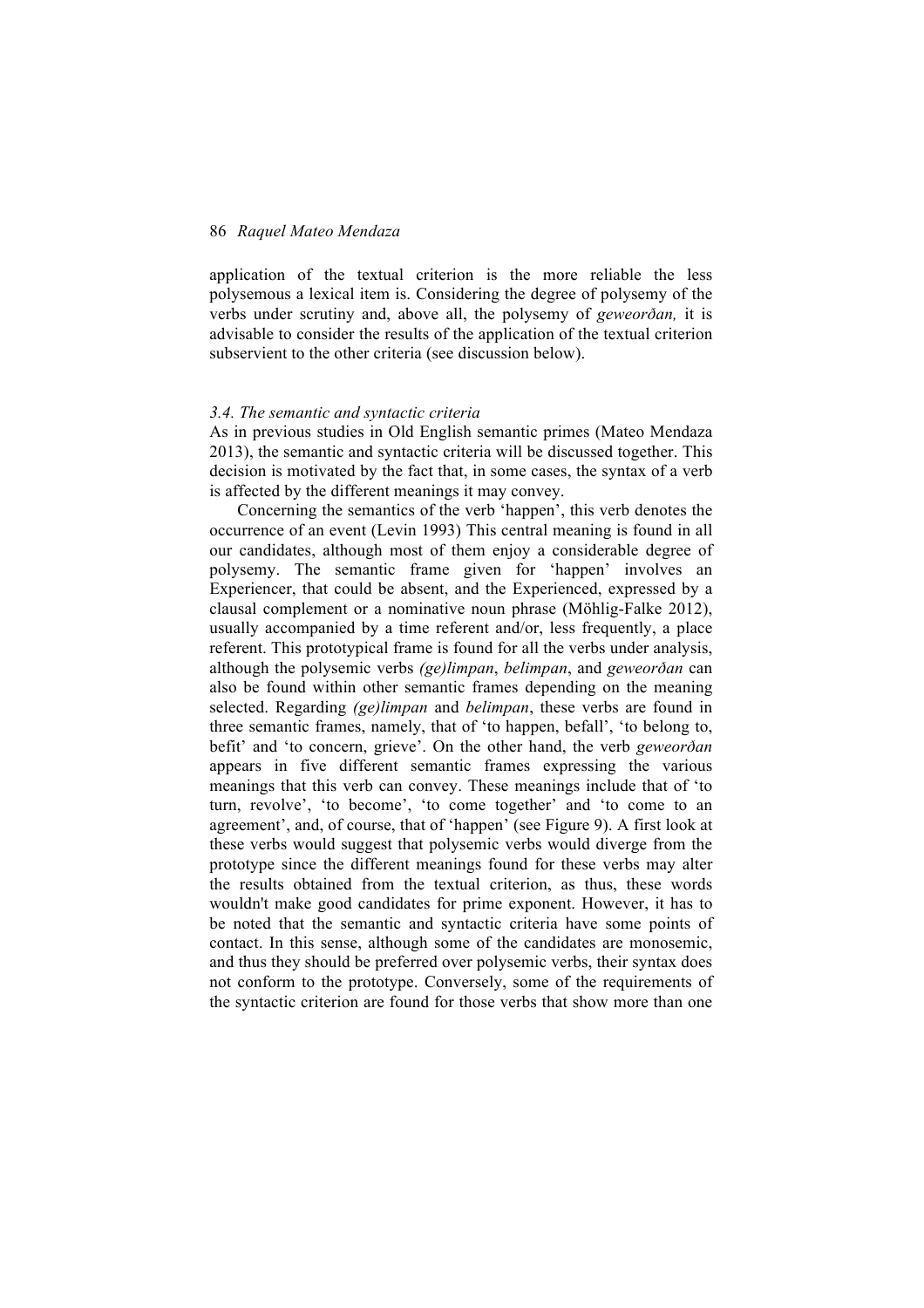application of the textual criterion is the more reliable the less polysemous a lexical item is. Considering the degree of polysemy of the verbs under scrutiny and, above all, the polysemy of *geweorðan,* it is advisable to consider the results of the application of the textual criterion subservient to the other criteria (see discussion below).

#### *3.4. The semantic and syntactic criteria*

As in previous studies in Old English semantic primes (Mateo Mendaza 2013), the semantic and syntactic criteria will be discussed together. This decision is motivated by the fact that, in some cases, the syntax of a verb is affected by the different meanings it may convey.

Concerning the semantics of the verb 'happen', this verb denotes the occurrence of an event (Levin 1993) This central meaning is found in all our candidates, although most of them enjoy a considerable degree of polysemy. The semantic frame given for 'happen' involves an Experiencer, that could be absent, and the Experienced, expressed by a clausal complement or a nominative noun phrase (Möhlig-Falke 2012), usually accompanied by a time referent and/or, less frequently, a place referent. This prototypical frame is found for all the verbs under analysis, although the polysemic verbs *(ge)limpan*, *belimpan*, and *geweorðan* can also be found within other semantic frames depending on the meaning selected. Regarding *(ge)limpan* and *belimpan*, these verbs are found in three semantic frames, namely, that of 'to happen, befall', 'to belong to, befit' and 'to concern, grieve'. On the other hand, the verb *geweorðan* appears in five different semantic frames expressing the various meanings that this verb can convey. These meanings include that of 'to turn, revolve', 'to become', 'to come together' and 'to come to an agreement', and, of course, that of 'happen' (see Figure 9). A first look at these verbs would suggest that polysemic verbs would diverge from the prototype since the different meanings found for these verbs may alter the results obtained from the textual criterion, as thus, these words wouldn't make good candidates for prime exponent. However, it has to be noted that the semantic and syntactic criteria have some points of contact. In this sense, although some of the candidates are monosemic, and thus they should be preferred over polysemic verbs, their syntax does not conform to the prototype. Conversely, some of the requirements of the syntactic criterion are found for those verbs that show more than one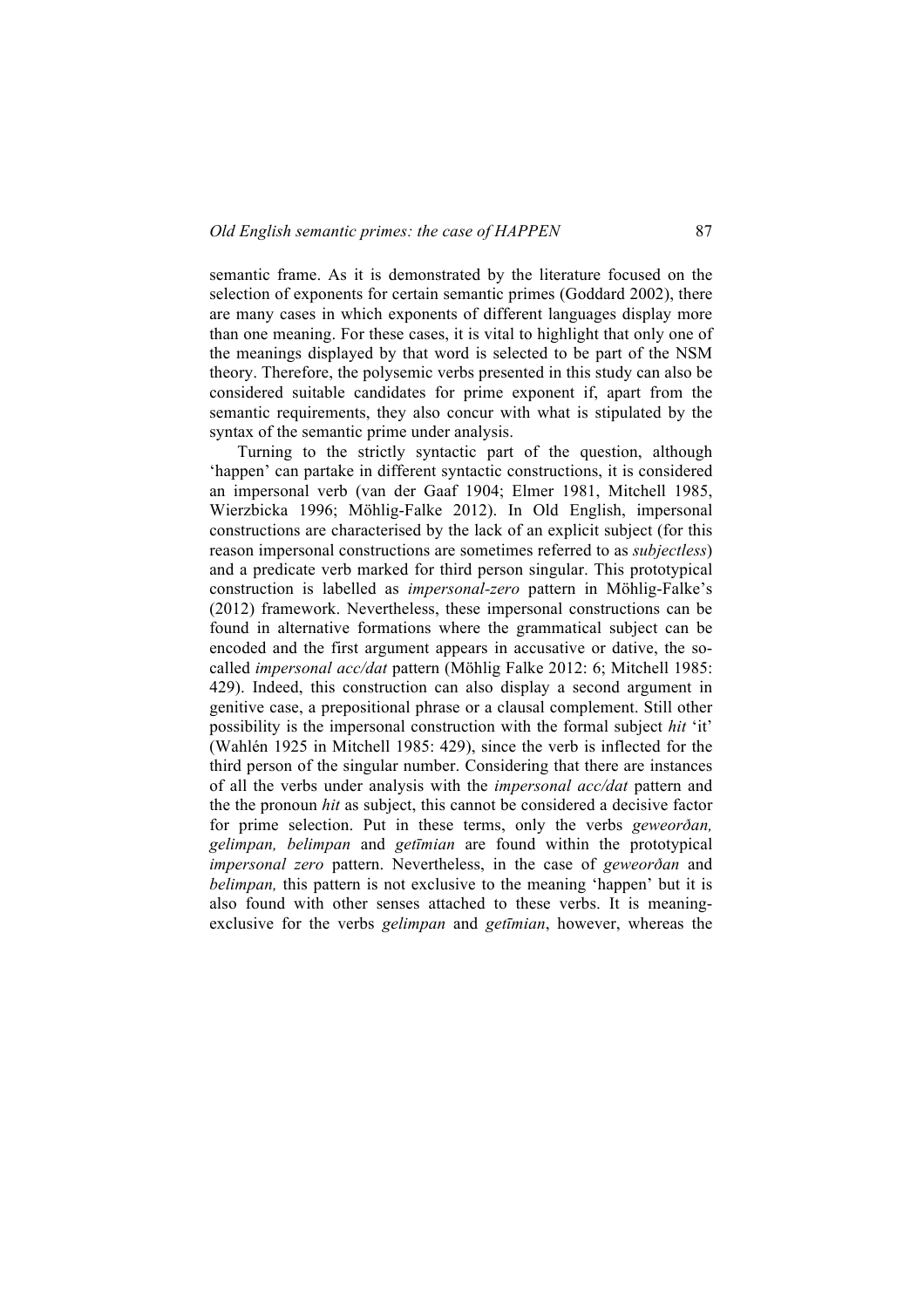semantic frame. As it is demonstrated by the literature focused on the selection of exponents for certain semantic primes (Goddard 2002), there are many cases in which exponents of different languages display more than one meaning. For these cases, it is vital to highlight that only one of the meanings displayed by that word is selected to be part of the NSM theory. Therefore, the polysemic verbs presented in this study can also be considered suitable candidates for prime exponent if, apart from the semantic requirements, they also concur with what is stipulated by the syntax of the semantic prime under analysis.

Turning to the strictly syntactic part of the question, although 'happen' can partake in different syntactic constructions, it is considered an impersonal verb (van der Gaaf 1904; Elmer 1981, Mitchell 1985, Wierzbicka 1996; Möhlig-Falke 2012). In Old English, impersonal constructions are characterised by the lack of an explicit subject (for this reason impersonal constructions are sometimes referred to as *subjectless*) and a predicate verb marked for third person singular. This prototypical construction is labelled as *impersonal-zero* pattern in Möhlig-Falke's (2012) framework. Nevertheless, these impersonal constructions can be found in alternative formations where the grammatical subject can be encoded and the first argument appears in accusative or dative, the socalled *impersonal acc/dat* pattern (Möhlig Falke 2012: 6; Mitchell 1985: 429). Indeed, this construction can also display a second argument in genitive case, a prepositional phrase or a clausal complement. Still other possibility is the impersonal construction with the formal subject *hit* 'it' (Wahlén 1925 in Mitchell 1985: 429), since the verb is inflected for the third person of the singular number. Considering that there are instances of all the verbs under analysis with the *impersonal acc/dat* pattern and the the pronoun *hit* as subject, this cannot be considered a decisive factor for prime selection. Put in these terms, only the verbs *geweorðan, gelimpan, belimpan* and *getīmian* are found within the prototypical *impersonal zero* pattern. Nevertheless, in the case of *geweorðan* and *belimpan,* this pattern is not exclusive to the meaning 'happen' but it is also found with other senses attached to these verbs. It is meaningexclusive for the verbs *gelimpan* and *getīmian*, however, whereas the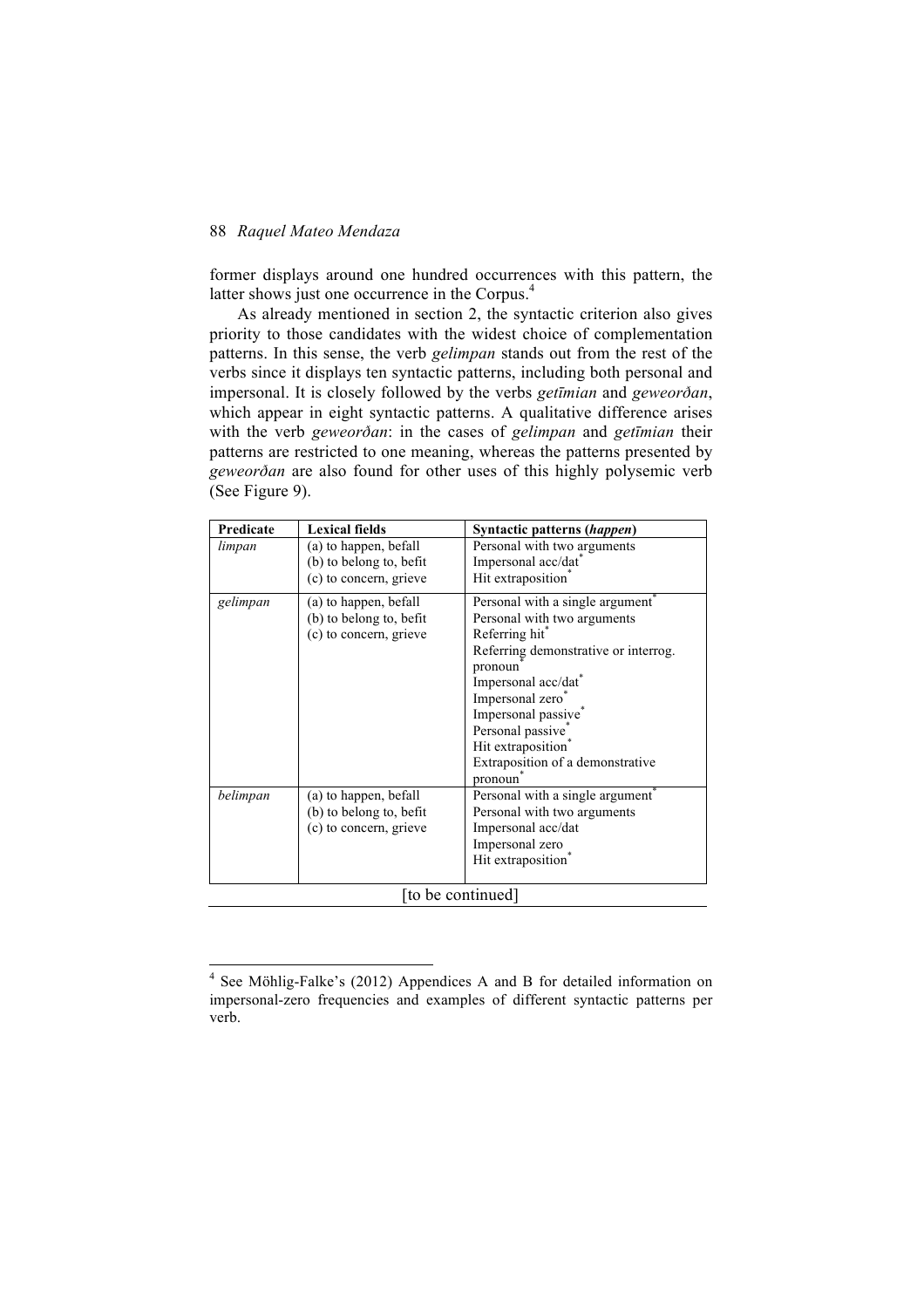former displays around one hundred occurrences with this pattern, the latter shows just one occurrence in the Corpus.<sup>4</sup>

As already mentioned in section 2, the syntactic criterion also gives priority to those candidates with the widest choice of complementation patterns. In this sense, the verb *gelimpan* stands out from the rest of the verbs since it displays ten syntactic patterns, including both personal and impersonal. It is closely followed by the verbs *getīmian* and *geweorðan*, which appear in eight syntactic patterns. A qualitative difference arises with the verb *geweorðan*: in the cases of *gelimpan* and *getīmian* their patterns are restricted to one meaning, whereas the patterns presented by *geweorðan* are also found for other uses of this highly polysemic verb (See Figure 9).

| Predicate | <b>Lexical fields</b>   | Syntactic patterns (happen)          |  |  |
|-----------|-------------------------|--------------------------------------|--|--|
| limpan    | (a) to happen, befall   | Personal with two arguments          |  |  |
|           | (b) to belong to, befit | Impersonal acc/dat <sup>*</sup>      |  |  |
|           | (c) to concern, grieve  | Hit extraposition                    |  |  |
| gelimpan  | (a) to happen, befall   | Personal with a single argument      |  |  |
|           | (b) to belong to, befit | Personal with two arguments          |  |  |
|           | (c) to concern, grieve  | Referring hit <sup>*</sup>           |  |  |
|           |                         | Referring demonstrative or interrog. |  |  |
|           |                         | pronoun                              |  |  |
|           |                         | Impersonal acc/dat                   |  |  |
|           |                         | Impersonal zero*                     |  |  |
|           |                         | Impersonal passive <sup>®</sup>      |  |  |
|           |                         | Personal passive*                    |  |  |
|           |                         | Hit extraposition <sup>7</sup>       |  |  |
|           |                         | Extraposition of a demonstrative     |  |  |
|           |                         | pronoun                              |  |  |
| belimpan  | (a) to happen, befall   | Personal with a single argument      |  |  |
|           | (b) to belong to, befit | Personal with two arguments          |  |  |
|           | (c) to concern, grieve  | Impersonal acc/dat                   |  |  |
|           |                         | Impersonal zero                      |  |  |
|           |                         | Hit extraposition                    |  |  |
|           |                         |                                      |  |  |
|           | to be continued]        |                                      |  |  |

 <sup>4</sup> See Möhlig-Falke's (2012) Appendices A and B for detailed information on impersonal-zero frequencies and examples of different syntactic patterns per verb.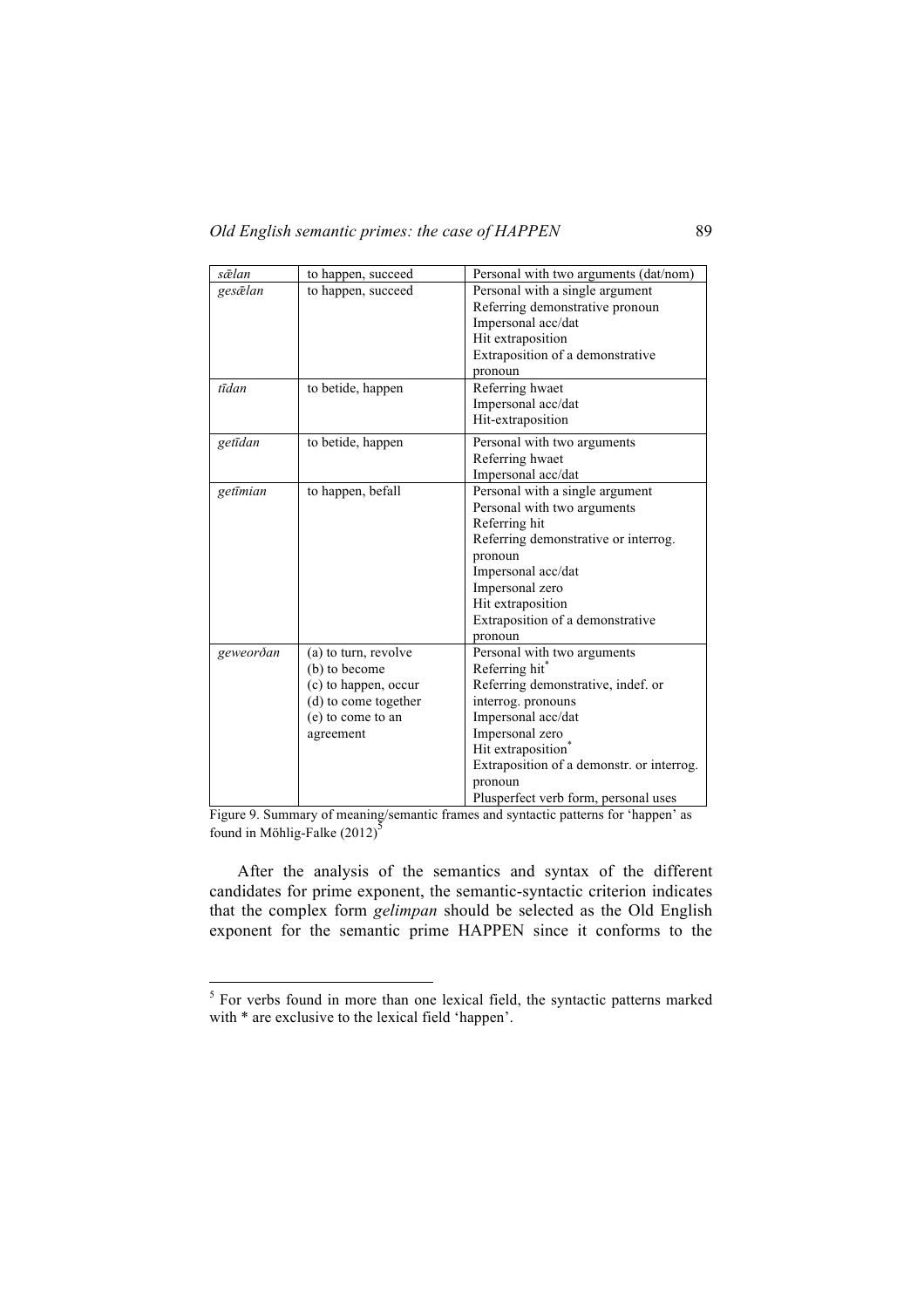| sælan     | to happen, succeed   | Personal with two arguments (dat/nom)     |  |
|-----------|----------------------|-------------------------------------------|--|
| gesælan   | to happen, succeed   | Personal with a single argument           |  |
|           |                      | Referring demonstrative pronoun           |  |
|           |                      | Impersonal acc/dat                        |  |
|           |                      | Hit extraposition                         |  |
|           |                      | Extraposition of a demonstrative          |  |
|           |                      | pronoun                                   |  |
| tīdan     | to betide, happen    | Referring hwaet                           |  |
|           |                      | Impersonal acc/dat                        |  |
|           |                      | Hit-extraposition                         |  |
| getīdan   | to betide, happen    | Personal with two arguments               |  |
|           |                      | Referring hwaet                           |  |
|           |                      | Impersonal acc/dat                        |  |
| getīmian  | to happen, befall    | Personal with a single argument           |  |
|           |                      | Personal with two arguments               |  |
|           |                      | Referring hit                             |  |
|           |                      | Referring demonstrative or interrog.      |  |
|           |                      | pronoun                                   |  |
|           |                      | Impersonal acc/dat                        |  |
|           |                      | Impersonal zero                           |  |
|           |                      | Hit extraposition                         |  |
|           |                      | Extraposition of a demonstrative          |  |
|           |                      | pronoun                                   |  |
| geweorðan | (a) to turn, revolve | Personal with two arguments               |  |
|           | (b) to become        | Referring hit <sup>®</sup>                |  |
|           | (c) to happen, occur | Referring demonstrative, indef. or        |  |
|           | (d) to come together | interrog. pronouns                        |  |
|           | (e) to come to an    | Impersonal acc/dat                        |  |
|           | agreement            | Impersonal zero                           |  |
|           |                      | Hit extraposition <sup>7</sup>            |  |
|           |                      | Extraposition of a demonstr. or interrog. |  |
|           |                      | pronoun                                   |  |
|           |                      | Plusperfect verb form, personal uses      |  |

Figure 9. Summary of meaning/semantic frames and syntactic patterns for 'happen' as found in Möhlig-Falke  $(2012)^{\overline{5}}$ 

After the analysis of the semantics and syntax of the different candidates for prime exponent, the semantic-syntactic criterion indicates that the complex form *gelimpan* should be selected as the Old English exponent for the semantic prime HAPPEN since it conforms to the

 <sup>5</sup> For verbs found in more than one lexical field, the syntactic patterns marked with \* are exclusive to the lexical field 'happen'.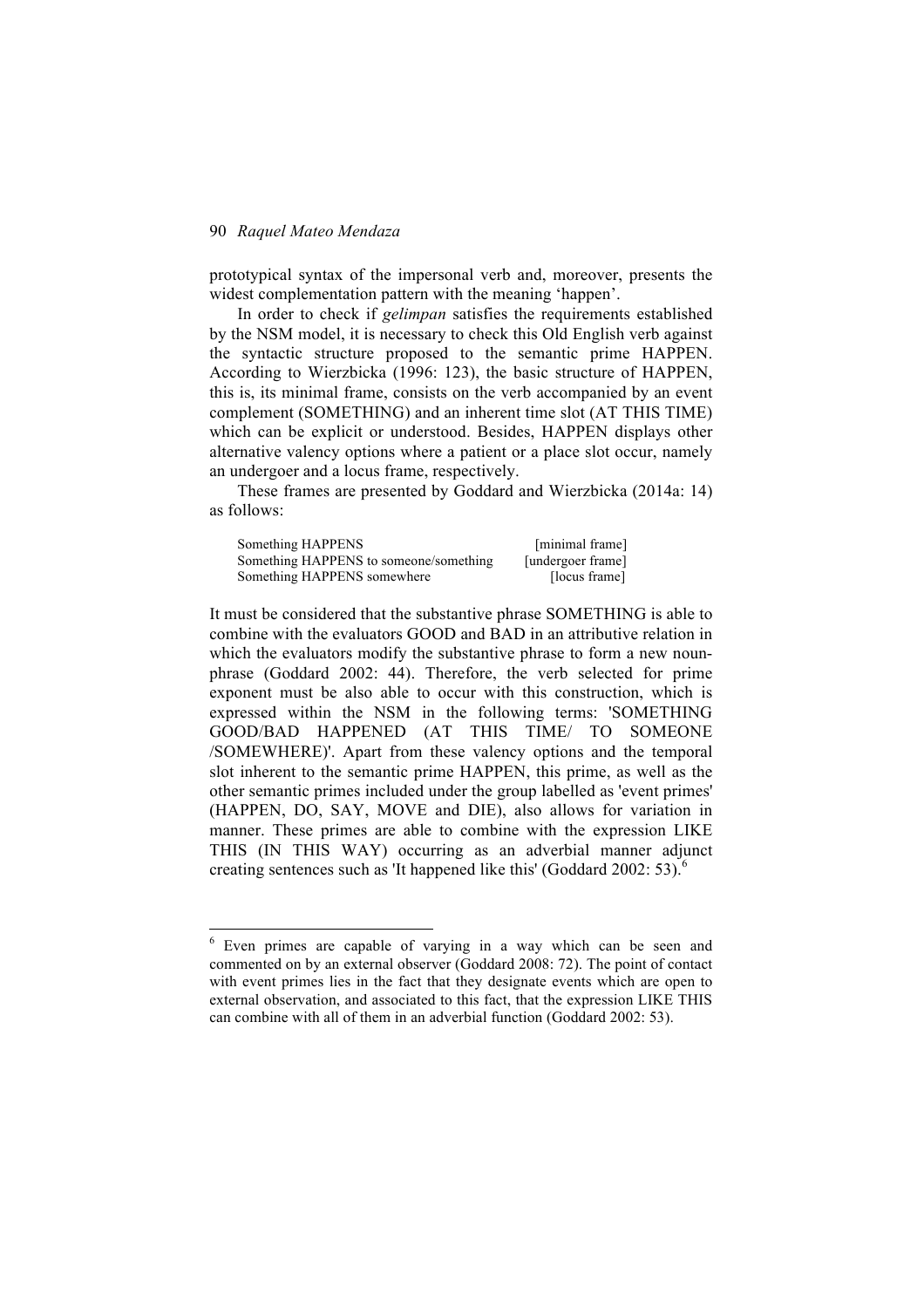prototypical syntax of the impersonal verb and, moreover, presents the widest complementation pattern with the meaning 'happen'.

In order to check if *gelimpan* satisfies the requirements established by the NSM model, it is necessary to check this Old English verb against the syntactic structure proposed to the semantic prime HAPPEN. According to Wierzbicka (1996: 123), the basic structure of HAPPEN, this is, its minimal frame, consists on the verb accompanied by an event complement (SOMETHING) and an inherent time slot (AT THIS TIME) which can be explicit or understood. Besides, HAPPEN displays other alternative valency options where a patient or a place slot occur, namely an undergoer and a locus frame, respectively.

These frames are presented by Goddard and Wierzbicka (2014a: 14) as follows:

| Something HAPPENS                      | [minimal frame]   |
|----------------------------------------|-------------------|
| Something HAPPENS to someone/something | [undergoer frame] |
| Something HAPPENS somewhere            | [locus frame]     |

It must be considered that the substantive phrase SOMETHING is able to combine with the evaluators GOOD and BAD in an attributive relation in which the evaluators modify the substantive phrase to form a new nounphrase (Goddard 2002: 44). Therefore, the verb selected for prime exponent must be also able to occur with this construction, which is expressed within the NSM in the following terms: 'SOMETHING GOOD/BAD HAPPENED (AT THIS TIME/ TO SOMEONE /SOMEWHERE)'. Apart from these valency options and the temporal slot inherent to the semantic prime HAPPEN, this prime, as well as the other semantic primes included under the group labelled as 'event primes' (HAPPEN, DO, SAY, MOVE and DIE), also allows for variation in manner. These primes are able to combine with the expression LIKE THIS (IN THIS WAY) occurring as an adverbial manner adjunct creating sentences such as 'It happened like this' (Goddard 2002: 53). $^6$ 

 <sup>6</sup> Even primes are capable of varying in a way which can be seen and commented on by an external observer (Goddard 2008: 72). The point of contact with event primes lies in the fact that they designate events which are open to external observation, and associated to this fact, that the expression LIKE THIS can combine with all of them in an adverbial function (Goddard 2002: 53).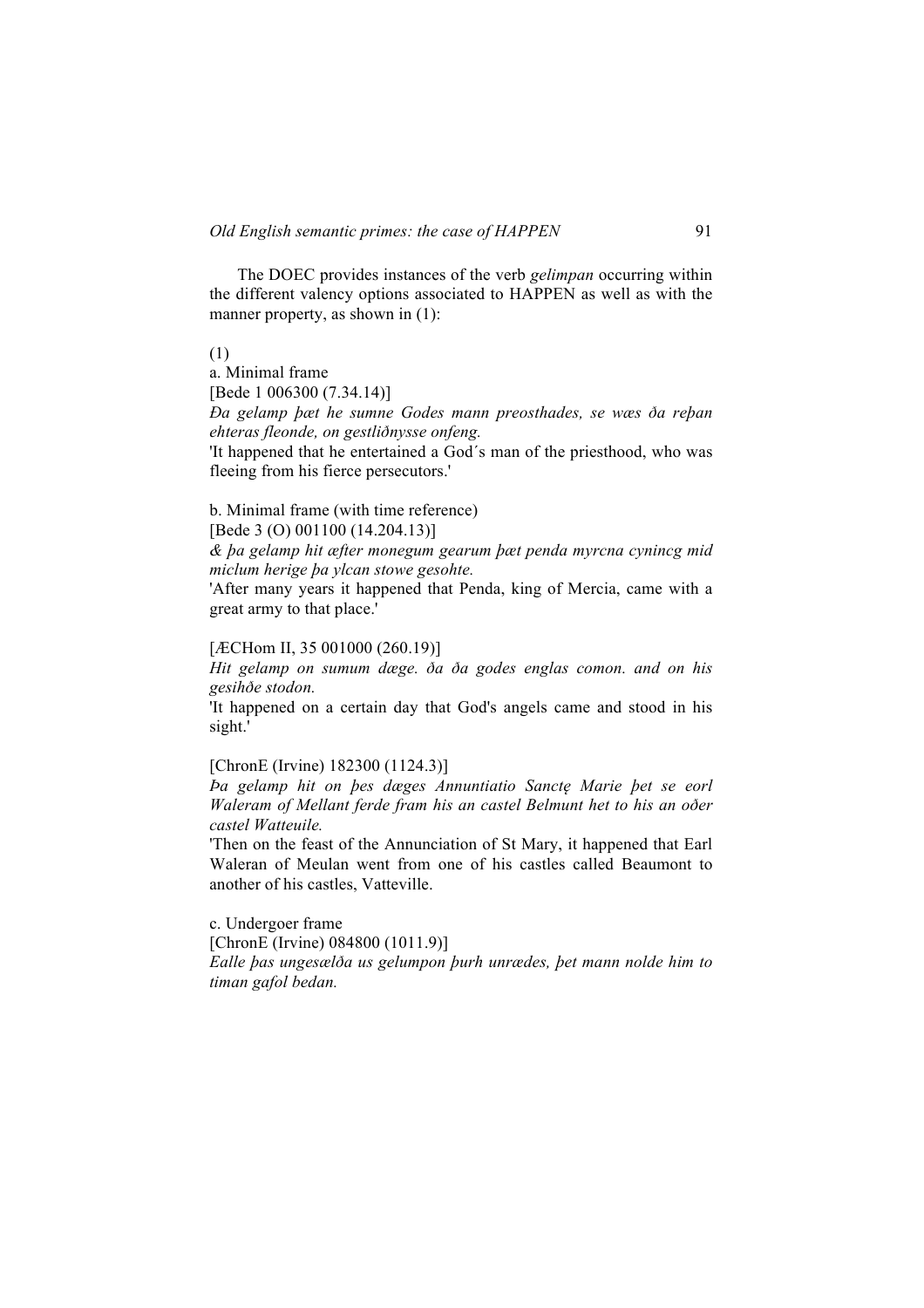The DOEC provides instances of the verb *gelimpan* occurring within the different valency options associated to HAPPEN as well as with the manner property, as shown in (1):

(1)

a. Minimal frame

[Bede 1 006300 (7.34.14)]

*Ða gelamp þæt he sumne Godes mann preosthades, se wæs ða reþan ehteras fleonde, on gestliðnysse onfeng.*

'It happened that he entertained a God´s man of the priesthood, who was fleeing from his fierce persecutors.'

b. Minimal frame (with time reference)

[Bede 3 (O) 001100 (14.204.13)]

*& þa gelamp hit æfter monegum gearum þæt penda myrcna cynincg mid miclum herige þa ylcan stowe gesohte.*

'After many years it happened that Penda, king of Mercia, came with a great army to that place.'

[*ÆCHom II, 35 001000 (260.19*)]

*Hit gelamp on sumum dæge. ða ða godes englas comon. and on his gesihðe stodon.*

'It happened on a certain day that God's angels came and stood in his sight.'

[ChronE (Irvine) 182300 (1124.3)]

*Þa gelamp hit on þes dæges Annuntiatio Sanctę Marie þet se eorl Waleram of Mellant ferde fram his an castel Belmunt het to his an oðer castel Watteuile.*

'Then on the feast of the Annunciation of St Mary, it happened that Earl Waleran of Meulan went from one of his castles called Beaumont to another of his castles, Vatteville.

c. Undergoer frame [ChronE (Irvine) 084800 (1011.9)] *Ealle þas ungesælða us gelumpon þurh unrædes, þet mann nolde him to timan gafol bedan.*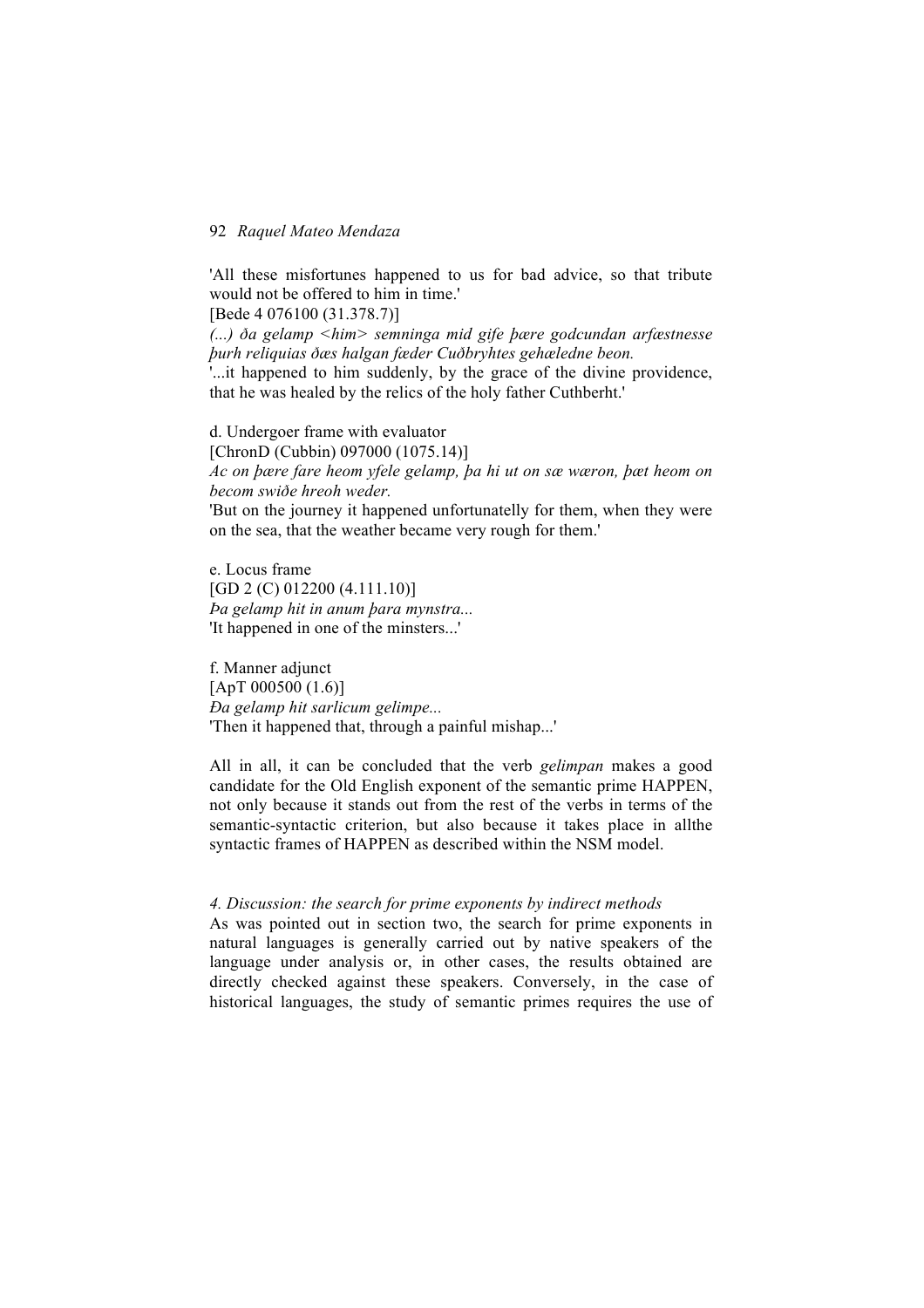'All these misfortunes happened to us for bad advice, so that tribute would not be offered to him in time.'

[Bede 4 076100 (31.378.7)]

*(...) ða gelamp <him> semninga mid gife þære godcundan arfæstnesse þurh reliquias ðæs halgan fæder Cuðbryhtes gehæledne beon.*

'...it happened to him suddenly, by the grace of the divine providence, that he was healed by the relics of the holy father Cuthberht.'

d. Undergoer frame with evaluator [ChronD (Cubbin) 097000 (1075.14)] *Ac on þære fare heom yfele gelamp, þa hi ut on sæ wæron, þæt heom on becom swiðe hreoh weder.*  'But on the journey it happened unfortunatelly for them, when they were

on the sea, that the weather became very rough for them.'

e. Locus frame [GD 2 (C) 012200 (4.111.10)] *Þa gelamp hit in anum þara mynstra...* 'It happened in one of the minsters...'

f. Manner adjunct [ApT 000500 (1.6)] *Ða gelamp hit sarlicum gelimpe...* 'Then it happened that, through a painful mishap...'

All in all, it can be concluded that the verb *gelimpan* makes a good candidate for the Old English exponent of the semantic prime HAPPEN, not only because it stands out from the rest of the verbs in terms of the semantic-syntactic criterion, but also because it takes place in allthe syntactic frames of HAPPEN as described within the NSM model.

# *4. Discussion: the search for prime exponents by indirect methods*

As was pointed out in section two, the search for prime exponents in natural languages is generally carried out by native speakers of the language under analysis or, in other cases, the results obtained are directly checked against these speakers. Conversely, in the case of historical languages, the study of semantic primes requires the use of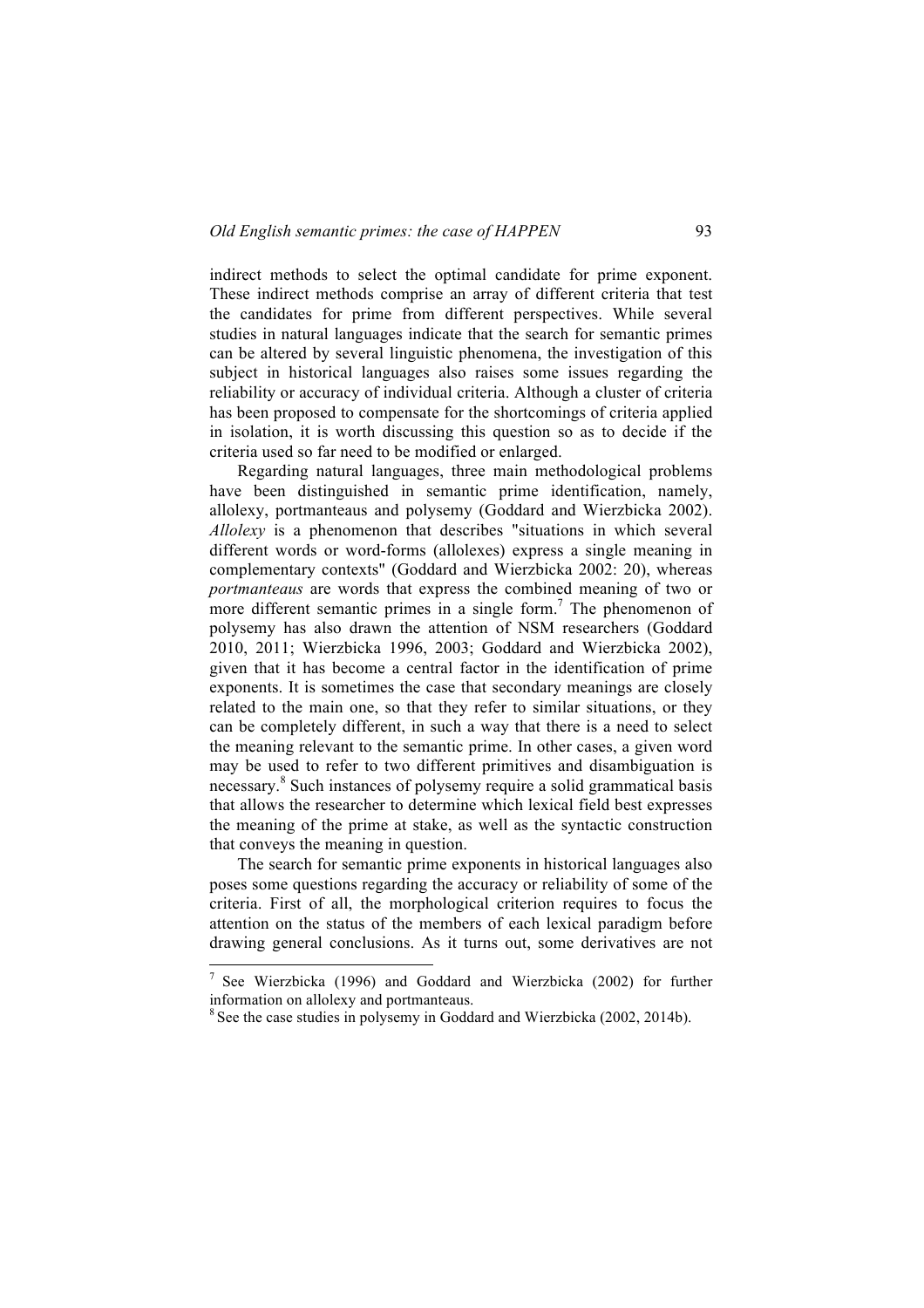indirect methods to select the optimal candidate for prime exponent. These indirect methods comprise an array of different criteria that test the candidates for prime from different perspectives. While several studies in natural languages indicate that the search for semantic primes can be altered by several linguistic phenomena, the investigation of this subject in historical languages also raises some issues regarding the reliability or accuracy of individual criteria. Although a cluster of criteria has been proposed to compensate for the shortcomings of criteria applied in isolation, it is worth discussing this question so as to decide if the criteria used so far need to be modified or enlarged.

Regarding natural languages, three main methodological problems have been distinguished in semantic prime identification, namely, allolexy, portmanteaus and polysemy (Goddard and Wierzbicka 2002). *Allolexy* is a phenomenon that describes "situations in which several different words or word-forms (allolexes) express a single meaning in complementary contexts" (Goddard and Wierzbicka 2002: 20), whereas *portmanteaus* are words that express the combined meaning of two or more different semantic primes in a single form.<sup>7</sup> The phenomenon of polysemy has also drawn the attention of NSM researchers (Goddard 2010, 2011; Wierzbicka 1996, 2003; Goddard and Wierzbicka 2002), given that it has become a central factor in the identification of prime exponents. It is sometimes the case that secondary meanings are closely related to the main one, so that they refer to similar situations, or they can be completely different, in such a way that there is a need to select the meaning relevant to the semantic prime. In other cases, a given word may be used to refer to two different primitives and disambiguation is necessary.<sup>8</sup> Such instances of polysemy require a solid grammatical basis that allows the researcher to determine which lexical field best expresses the meaning of the prime at stake, as well as the syntactic construction that conveys the meaning in question.

The search for semantic prime exponents in historical languages also poses some questions regarding the accuracy or reliability of some of the criteria. First of all, the morphological criterion requires to focus the attention on the status of the members of each lexical paradigm before drawing general conclusions. As it turns out, some derivatives are not

<sup>&</sup>lt;sup>7</sup> See Wierzbicka (1996) and Goddard and Wierzbicka (2002) for further information on allolexy and portmanteaus.

<sup>&</sup>lt;sup>8</sup> See the case studies in polysemy in Goddard and Wierzbicka (2002, 2014b).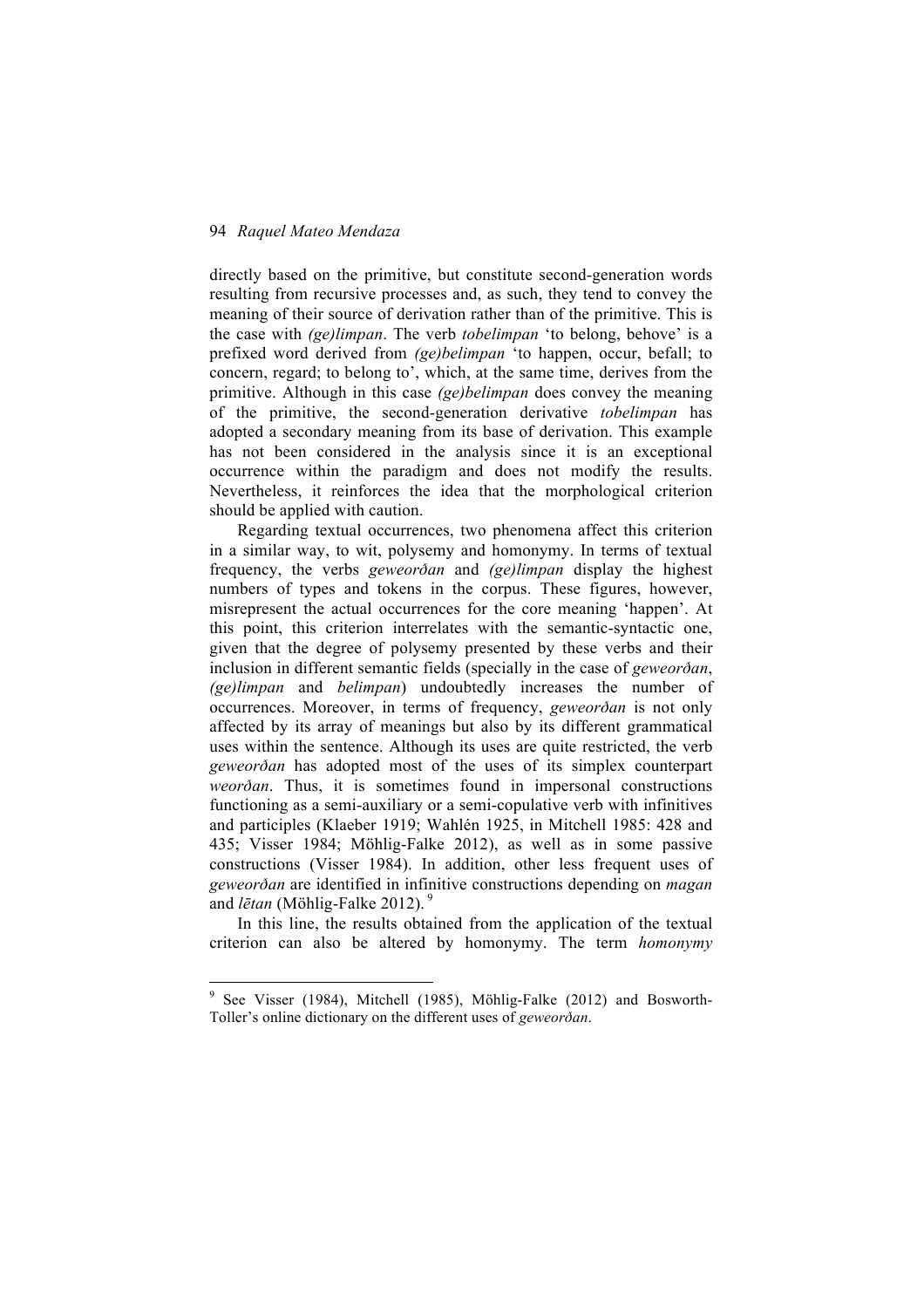directly based on the primitive, but constitute second-generation words resulting from recursive processes and, as such, they tend to convey the meaning of their source of derivation rather than of the primitive. This is the case with *(ge)limpan*. The verb *tobelimpan* 'to belong, behove' is a prefixed word derived from *(ge)belimpan* 'to happen, occur, befall; to concern, regard; to belong to', which, at the same time, derives from the primitive. Although in this case *(ge)belimpan* does convey the meaning of the primitive, the second-generation derivative *tobelimpan* has adopted a secondary meaning from its base of derivation. This example has not been considered in the analysis since it is an exceptional occurrence within the paradigm and does not modify the results. Nevertheless, it reinforces the idea that the morphological criterion should be applied with caution.

Regarding textual occurrences, two phenomena affect this criterion in a similar way, to wit, polysemy and homonymy. In terms of textual frequency, the verbs *geweorðan* and *(ge)limpan* display the highest numbers of types and tokens in the corpus. These figures, however, misrepresent the actual occurrences for the core meaning 'happen'. At this point, this criterion interrelates with the semantic-syntactic one, given that the degree of polysemy presented by these verbs and their inclusion in different semantic fields (specially in the case of *geweorðan*, *(ge)limpan* and *belimpan*) undoubtedly increases the number of occurrences. Moreover, in terms of frequency, *geweorðan* is not only affected by its array of meanings but also by its different grammatical uses within the sentence. Although its uses are quite restricted, the verb *geweorðan* has adopted most of the uses of its simplex counterpart *weorðan*. Thus, it is sometimes found in impersonal constructions functioning as a semi-auxiliary or a semi-copulative verb with infinitives and participles (Klaeber 1919; Wahlén 1925, in Mitchell 1985: 428 and 435; Visser 1984; Möhlig-Falke 2012), as well as in some passive constructions (Visser 1984). In addition, other less frequent uses of *geweorðan* are identified in infinitive constructions depending on *magan* and *lētan* (Möhlig-Falke 2012). 9

In this line, the results obtained from the application of the textual criterion can also be altered by homonymy. The term *homonymy*

<sup>&</sup>lt;sup>9</sup> See Visser (1984), Mitchell (1985), Möhlig-Falke (2012) and Bosworth-Toller's online dictionary on the different uses of *geweorðan*.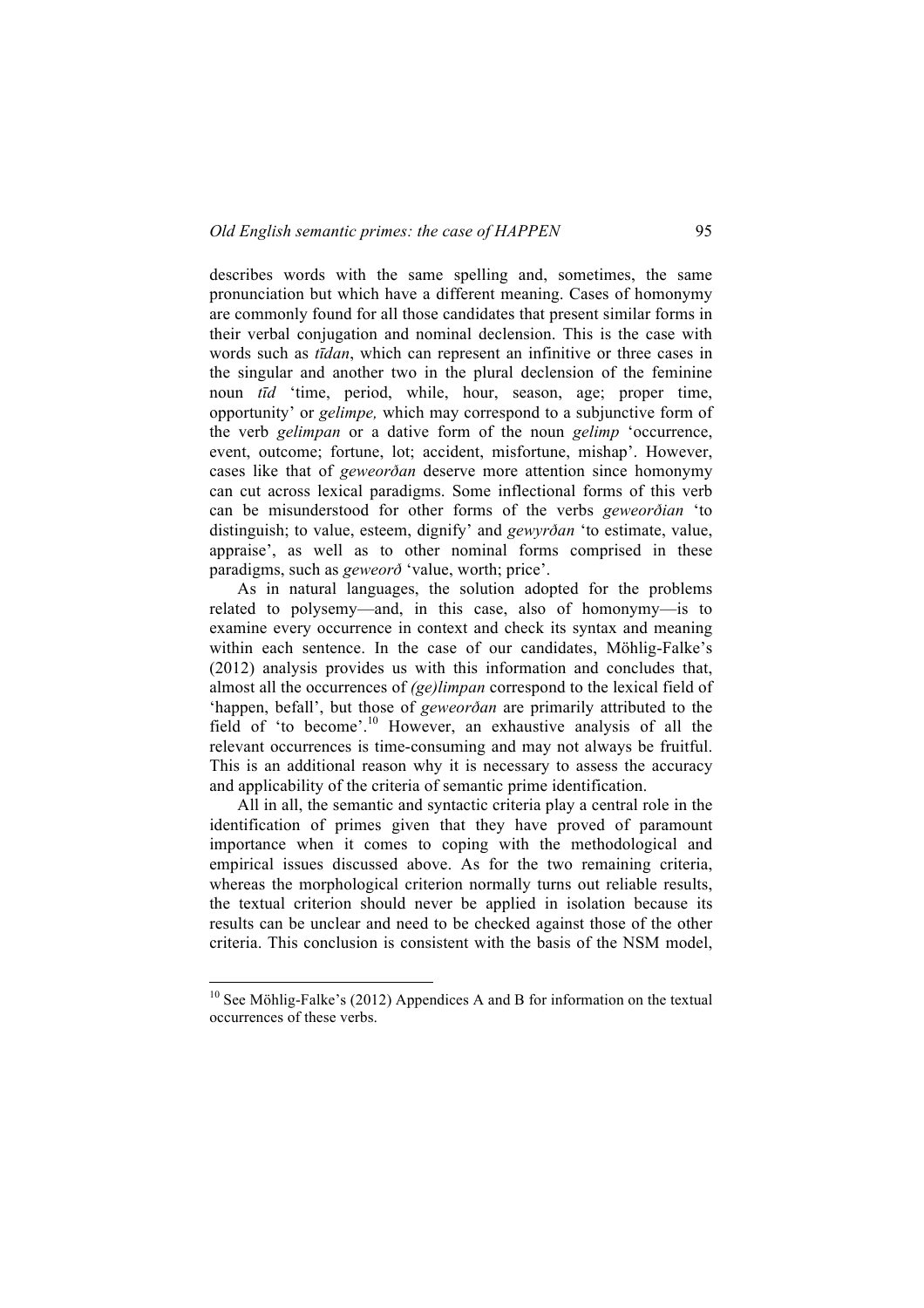describes words with the same spelling and, sometimes, the same pronunciation but which have a different meaning. Cases of homonymy are commonly found for all those candidates that present similar forms in their verbal conjugation and nominal declension. This is the case with words such as *tīdan*, which can represent an infinitive or three cases in the singular and another two in the plural declension of the feminine noun *tīd* 'time, period, while, hour, season, age; proper time, opportunity' or *gelimpe,* which may correspond to a subjunctive form of the verb *gelimpan* or a dative form of the noun *gelimp* 'occurrence, event, outcome; fortune, lot; accident, misfortune, mishap'. However, cases like that of *geweorðan* deserve more attention since homonymy can cut across lexical paradigms. Some inflectional forms of this verb can be misunderstood for other forms of the verbs *geweorðian* 'to distinguish; to value, esteem, dignify' and *gewyrðan* 'to estimate, value, appraise', as well as to other nominal forms comprised in these paradigms, such as *geweorð* 'value, worth; price'.

As in natural languages, the solution adopted for the problems related to polysemy—and, in this case, also of homonymy—is to examine every occurrence in context and check its syntax and meaning within each sentence. In the case of our candidates, Möhlig-Falke's (2012) analysis provides us with this information and concludes that, almost all the occurrences of *(ge)limpan* correspond to the lexical field of 'happen, befall', but those of *geweorðan* are primarily attributed to the field of 'to become'.<sup>10</sup> However, an exhaustive analysis of all the relevant occurrences is time-consuming and may not always be fruitful. This is an additional reason why it is necessary to assess the accuracy and applicability of the criteria of semantic prime identification.

All in all, the semantic and syntactic criteria play a central role in the identification of primes given that they have proved of paramount importance when it comes to coping with the methodological and empirical issues discussed above. As for the two remaining criteria, whereas the morphological criterion normally turns out reliable results, the textual criterion should never be applied in isolation because its results can be unclear and need to be checked against those of the other criteria. This conclusion is consistent with the basis of the NSM model,

<sup>&</sup>lt;sup>10</sup> See Möhlig-Falke's (2012) Appendices A and B for information on the textual occurrences of these verbs.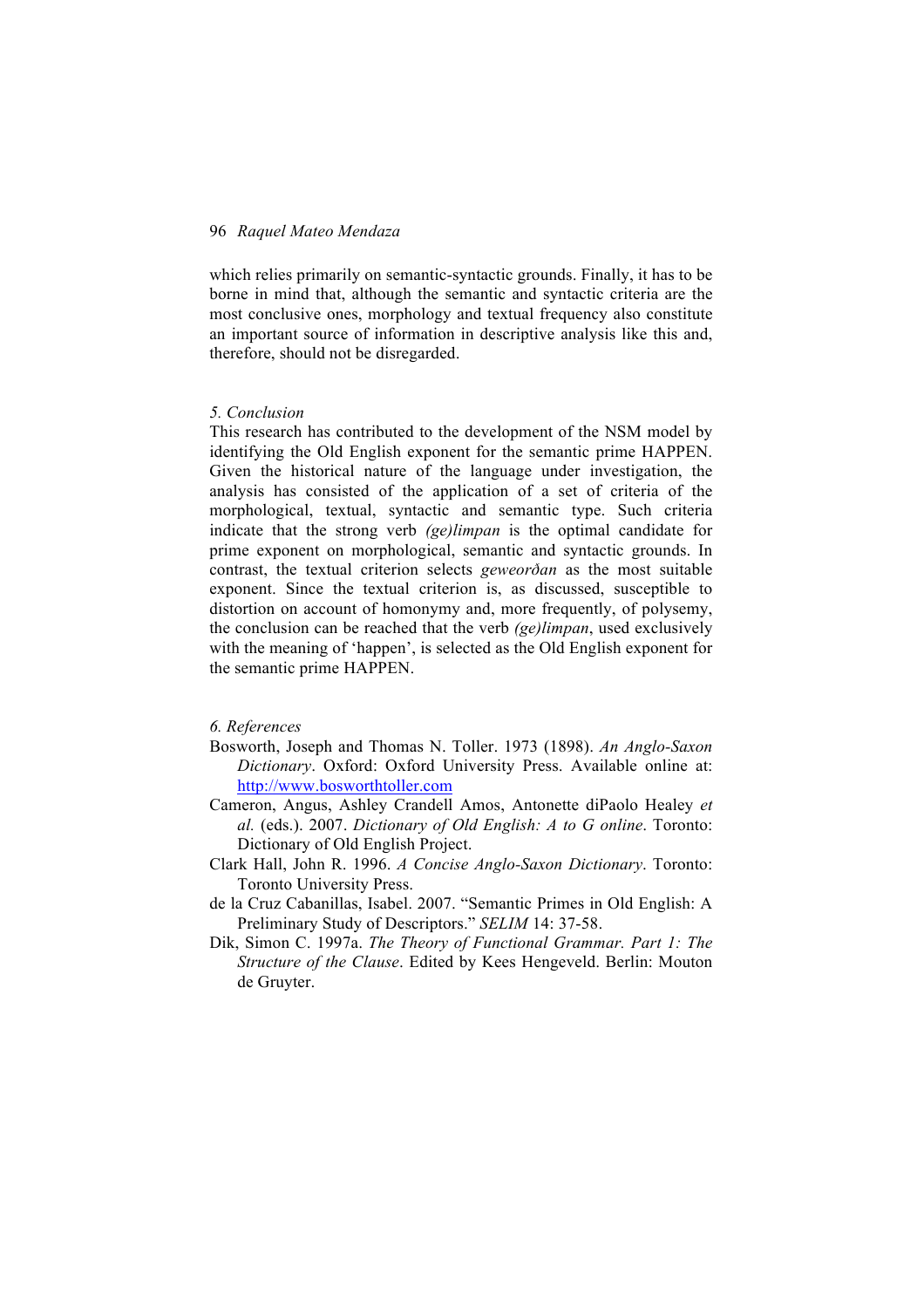which relies primarily on semantic-syntactic grounds. Finally, it has to be borne in mind that, although the semantic and syntactic criteria are the most conclusive ones, morphology and textual frequency also constitute an important source of information in descriptive analysis like this and, therefore, should not be disregarded.

#### *5. Conclusion*

This research has contributed to the development of the NSM model by identifying the Old English exponent for the semantic prime HAPPEN. Given the historical nature of the language under investigation, the analysis has consisted of the application of a set of criteria of the morphological, textual, syntactic and semantic type. Such criteria indicate that the strong verb *(ge)limpan* is the optimal candidate for prime exponent on morphological, semantic and syntactic grounds. In contrast, the textual criterion selects *geweorðan* as the most suitable exponent. Since the textual criterion is, as discussed, susceptible to distortion on account of homonymy and, more frequently, of polysemy, the conclusion can be reached that the verb *(ge)limpan*, used exclusively with the meaning of 'happen', is selected as the Old English exponent for the semantic prime HAPPEN.

## *6. References*

- Bosworth, Joseph and Thomas N. Toller. 1973 (1898). *An Anglo-Saxon Dictionary*. Oxford: Oxford University Press. Available online at: http://www.bosworthtoller.com
- Cameron, Angus, Ashley Crandell Amos, Antonette diPaolo Healey *et al.* (eds.). 2007. *Dictionary of Old English: A to G online*. Toronto: Dictionary of Old English Project.
- Clark Hall, John R. 1996. *A Concise Anglo-Saxon Dictionary*. Toronto: Toronto University Press.
- de la Cruz Cabanillas, Isabel. 2007. "Semantic Primes in Old English: A Preliminary Study of Descriptors." *SELIM* 14: 37-58.
- Dik, Simon C. 1997a. *The Theory of Functional Grammar. Part 1: The Structure of the Clause*. Edited by Kees Hengeveld. Berlin: Mouton de Gruyter.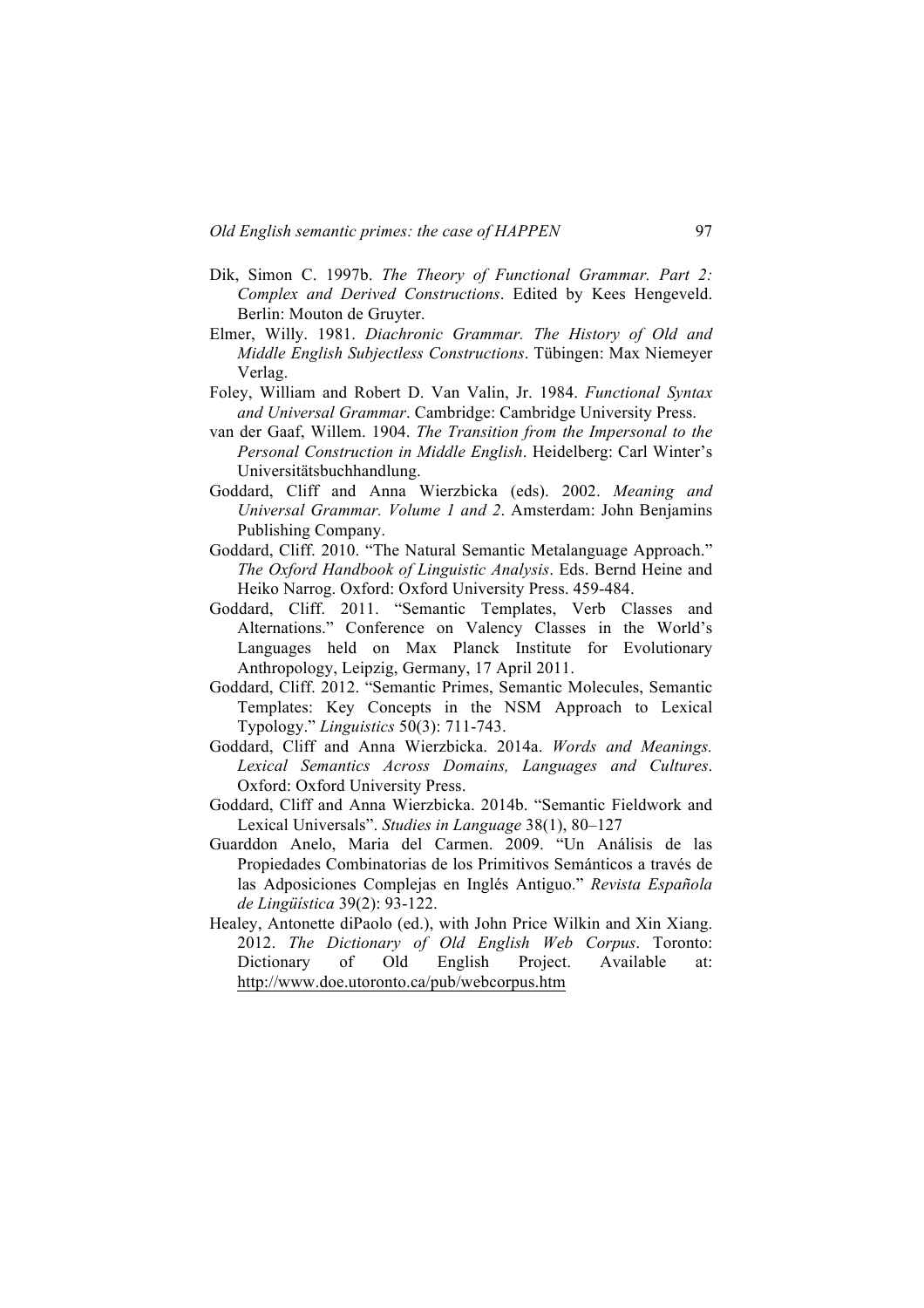- Dik, Simon C. 1997b. *The Theory of Functional Grammar. Part 2: Complex and Derived Constructions*. Edited by Kees Hengeveld. Berlin: Mouton de Gruyter.
- Elmer, Willy. 1981. *Diachronic Grammar. The History of Old and Middle English Subjectless Constructions*. Tübingen: Max Niemeyer Verlag.
- Foley, William and Robert D. Van Valin, Jr. 1984. *Functional Syntax and Universal Grammar*. Cambridge: Cambridge University Press.
- van der Gaaf, Willem. 1904. *The Transition from the Impersonal to the Personal Construction in Middle English*. Heidelberg: Carl Winter's Universitätsbuchhandlung.
- Goddard, Cliff and Anna Wierzbicka (eds). 2002. *Meaning and Universal Grammar. Volume 1 and 2*. Amsterdam: John Benjamins Publishing Company.
- Goddard, Cliff. 2010. "The Natural Semantic Metalanguage Approach." *The Oxford Handbook of Linguistic Analysis*. Eds. Bernd Heine and Heiko Narrog. Oxford: Oxford University Press. 459-484.
- Goddard, Cliff. 2011. "Semantic Templates, Verb Classes and Alternations." Conference on Valency Classes in the World's Languages held on Max Planck Institute for Evolutionary Anthropology, Leipzig, Germany, 17 April 2011.
- Goddard, Cliff. 2012. "Semantic Primes, Semantic Molecules, Semantic Templates: Key Concepts in the NSM Approach to Lexical Typology." *Linguistics* 50(3): 711-743.
- Goddard, Cliff and Anna Wierzbicka. 2014a. *Words and Meanings. Lexical Semantics Across Domains, Languages and Cultures*. Oxford: Oxford University Press.
- Goddard, Cliff and Anna Wierzbicka. 2014b. "Semantic Fieldwork and Lexical Universals". *Studies in Language* 38(1), 80–127
- Guarddon Anelo, Maria del Carmen. 2009. "Un Análisis de las Propiedades Combinatorias de los Primitivos Semánticos a través de las Adposiciones Complejas en Inglés Antiguo." *Revista Española de Lingüística* 39(2): 93-122.
- Healey, Antonette diPaolo (ed.), with John Price Wilkin and Xin Xiang. 2012. *The Dictionary of Old English Web Corpus*. Toronto: Dictionary of Old English Project. Available at: http://www.doe.utoronto.ca/pub/webcorpus.htm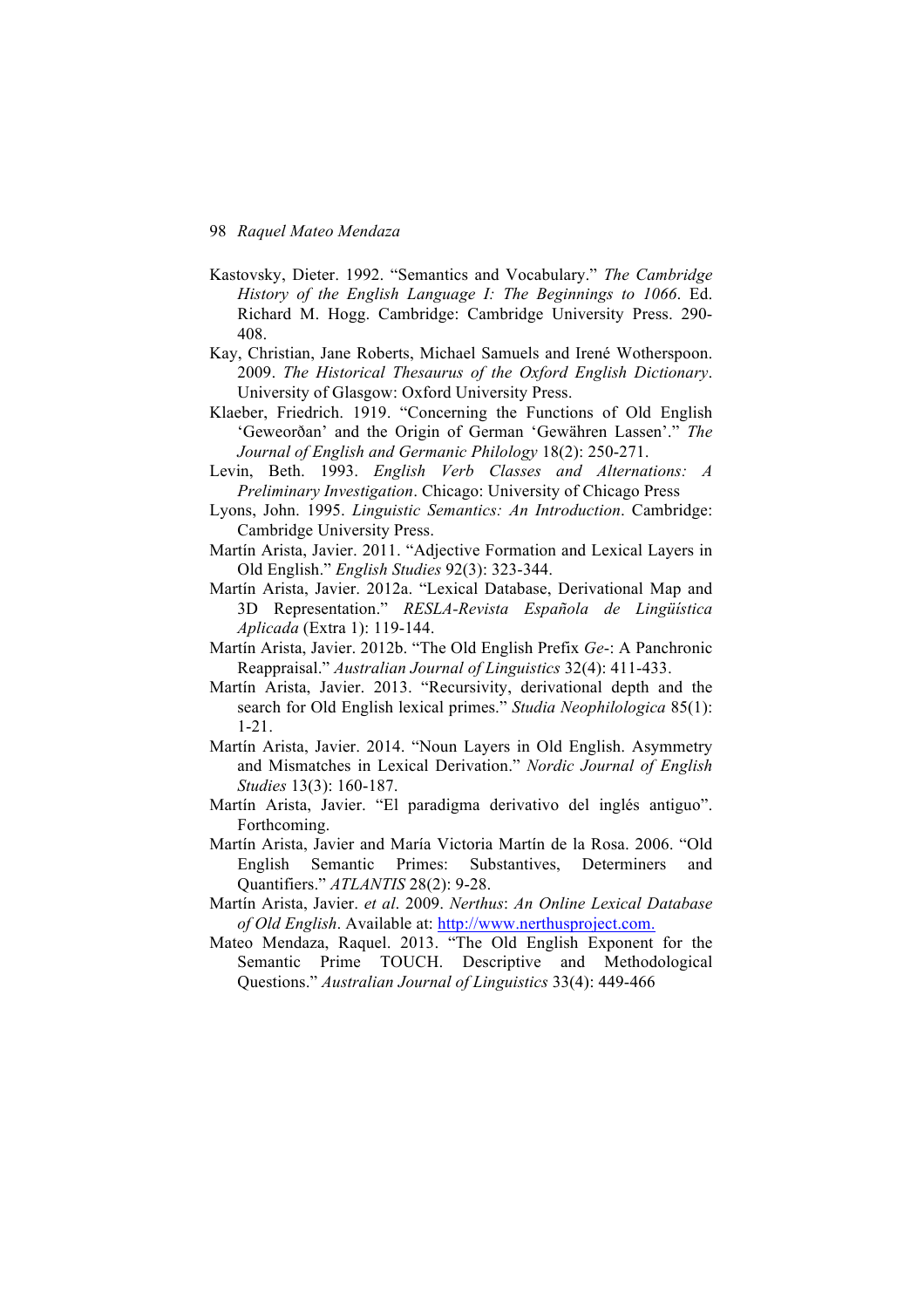- Kastovsky, Dieter. 1992. "Semantics and Vocabulary." *The Cambridge History of the English Language I: The Beginnings to 1066*. Ed. Richard M. Hogg. Cambridge: Cambridge University Press. 290- 408.
- Kay, Christian, Jane Roberts, Michael Samuels and Irené Wotherspoon. 2009. *The Historical Thesaurus of the Oxford English Dictionary*. University of Glasgow: Oxford University Press.
- Klaeber, Friedrich. 1919. "Concerning the Functions of Old English 'Geweorðan' and the Origin of German 'Gewähren Lassen'." *The Journal of English and Germanic Philology* 18(2): 250-271.
- Levin, Beth. 1993. *English Verb Classes and Alternations: A Preliminary Investigation*. Chicago: University of Chicago Press
- Lyons, John. 1995. *Linguistic Semantics: An Introduction*. Cambridge: Cambridge University Press.
- Martín Arista, Javier. 2011. "Adjective Formation and Lexical Layers in Old English." *English Studies* 92(3): 323-344.
- Martín Arista, Javier. 2012a. "Lexical Database, Derivational Map and 3D Representation." *RESLA-Revista Española de Lingüística Aplicada* (Extra 1): 119-144.
- Martín Arista, Javier. 2012b. "The Old English Prefix *Ge*-: A Panchronic Reappraisal." *Australian Journal of Linguistics* 32(4): 411-433.
- Martín Arista, Javier. 2013. "Recursivity, derivational depth and the search for Old English lexical primes." *Studia Neophilologica* 85(1): 1-21.
- Martín Arista, Javier. 2014. "Noun Layers in Old English. Asymmetry and Mismatches in Lexical Derivation." *Nordic Journal of English Studies* 13(3): 160-187.
- Martín Arista, Javier. "El paradigma derivativo del inglés antiguo". Forthcoming.
- Martín Arista, Javier and María Victoria Martín de la Rosa. 2006. "Old English Semantic Primes: Substantives, Determiners and Quantifiers." *ATLANTIS* 28(2): 9-28.
- Martín Arista, Javier. *et al*. 2009. *Nerthus*: *An Online Lexical Database of Old English*. Available at: http://www.nerthusproject.com.
- Mateo Mendaza, Raquel. 2013. "The Old English Exponent for the Semantic Prime TOUCH. Descriptive and Methodological Questions." *Australian Journal of Linguistics* 33(4): 449-466